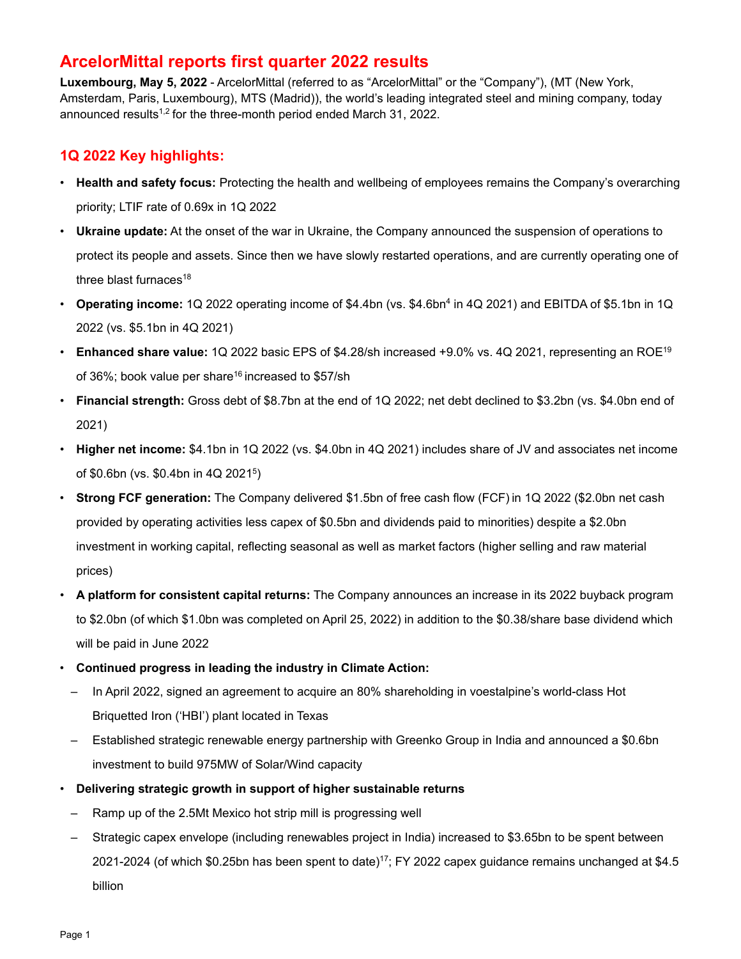# **ArcelorMittal reports first quarter 2022 results**

**Luxembourg, May 5, 2022** - ArcelorMittal (referred to as "ArcelorMittal" or the "Company"), (MT (New York, Amsterdam, Paris, Luxembourg), MTS (Madrid)), the world's leading integrated steel and mining company, today announced results<sup>1,2</sup> for the three-month period ended March 31, 2022.

# **1Q 2022 Key highlights:**

- **Health and safety focus:** Protecting the health and wellbeing of employees remains the Company's overarching priority; LTIF rate of 0.69x in 1Q 2022
- **Ukraine update:** At the onset of the war in Ukraine, the Company announced the suspension of operations to protect its people and assets. Since then we have slowly restarted operations, and are currently operating one of three blast furnaces<sup>18</sup>
- **Operating income:** 1Q 2022 operating income of \$4.4bn (vs. \$4.6bn4 in 4Q 2021) and EBITDA of \$5.1bn in 1Q 2022 (vs. \$5.1bn in 4Q 2021)
- **Enhanced share value:** 1Q 2022 basic EPS of \$4.28/sh increased +9.0% vs. 4Q 2021, representing an ROE<sup>19</sup> of 36%; book value per share<sup>16</sup> increased to  $$57/sh$
- **Financial strength:** Gross debt of \$8.7bn at the end of 1Q 2022; net debt declined to \$3.2bn (vs. \$4.0bn end of 2021)
- **Higher net income:** \$4.1bn in 1Q 2022 (vs. \$4.0bn in 4Q 2021) includes share of JV and associates net income of \$0.6bn (vs. \$0.4bn in 4Q 20215)
- **Strong FCF generation:** The Company delivered \$1.5bn of free cash flow (FCF) in 1Q 2022 (\$2.0bn net cash provided by operating activities less capex of \$0.5bn and dividends paid to minorities) despite a \$2.0bn investment in working capital, reflecting seasonal as well as market factors (higher selling and raw material prices)
- **A platform for consistent capital returns:** The Company announces an increase in its 2022 buyback program to \$2.0bn (of which \$1.0bn was completed on April 25, 2022) in addition to the \$0.38/share base dividend which will be paid in June 2022
- **Continued progress in leading the industry in Climate Action:**
	- In April 2022, signed an agreement to acquire an 80% shareholding in voestalpine's world-class Hot Briquetted Iron ('HBI') plant located in Texas
	- Established strategic renewable energy partnership with Greenko Group in India and announced a \$0.6bn investment to build 975MW of Solar/Wind capacity
- **Delivering strategic growth in support of higher sustainable returns**
	- Ramp up of the 2.5Mt Mexico hot strip mill is progressing well
	- Strategic capex envelope (including renewables project in India) increased to \$3.65bn to be spent between 2021-2024 (of which \$0.25bn has been spent to date)17; FY 2022 capex guidance remains unchanged at \$4.5 billion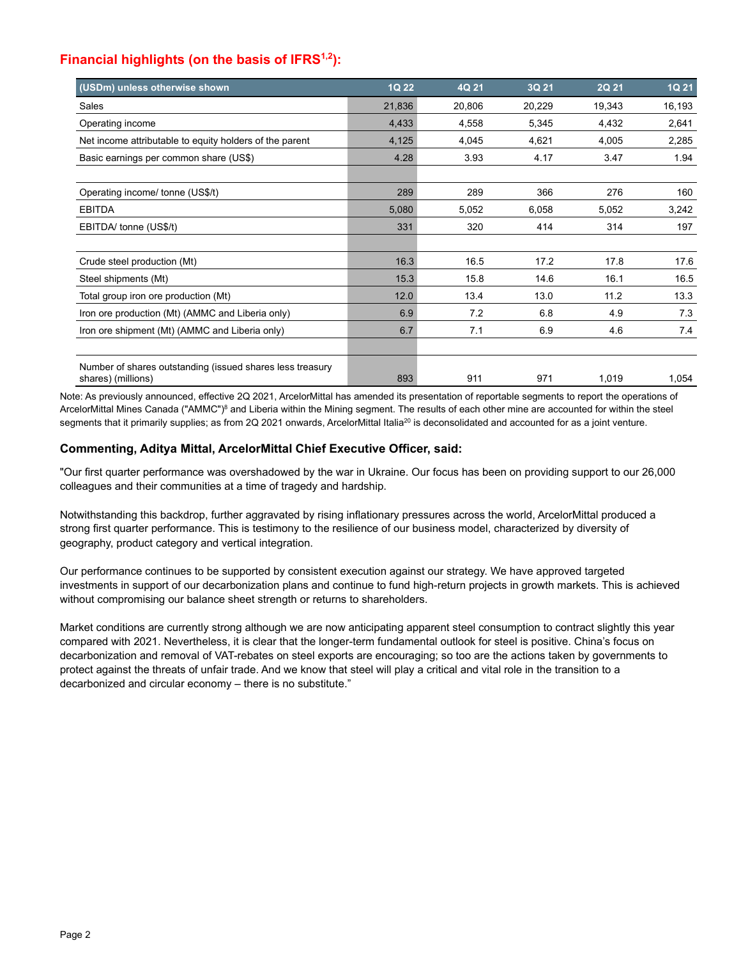# **Financial highlights (on the basis of IFRS1,2):**

| (USDm) unless otherwise shown                                                   | 1Q 22  | 4Q 21  | 3Q 21  | 2Q 21  | 1Q 21  |
|---------------------------------------------------------------------------------|--------|--------|--------|--------|--------|
| <b>Sales</b>                                                                    | 21,836 | 20,806 | 20,229 | 19,343 | 16,193 |
| Operating income                                                                | 4,433  | 4,558  | 5,345  | 4,432  | 2,641  |
| Net income attributable to equity holders of the parent                         | 4,125  | 4,045  | 4,621  | 4,005  | 2,285  |
| Basic earnings per common share (US\$)                                          | 4.28   | 3.93   | 4.17   | 3.47   | 1.94   |
|                                                                                 |        |        |        |        |        |
| Operating income/ tonne (US\$/t)                                                | 289    | 289    | 366    | 276    | 160    |
| <b>EBITDA</b>                                                                   | 5,080  | 5,052  | 6,058  | 5,052  | 3,242  |
| EBITDA/ tonne (US\$/t)                                                          | 331    | 320    | 414    | 314    | 197    |
|                                                                                 |        |        |        |        |        |
| Crude steel production (Mt)                                                     | 16.3   | 16.5   | 17.2   | 17.8   | 17.6   |
| Steel shipments (Mt)                                                            | 15.3   | 15.8   | 14.6   | 16.1   | 16.5   |
| Total group iron ore production (Mt)                                            | 12.0   | 13.4   | 13.0   | 11.2   | 13.3   |
| Iron ore production (Mt) (AMMC and Liberia only)                                | 6.9    | 7.2    | 6.8    | 4.9    | 7.3    |
| Iron ore shipment (Mt) (AMMC and Liberia only)                                  | 6.7    | 7.1    | 6.9    | 4.6    | 7.4    |
|                                                                                 |        |        |        |        |        |
| Number of shares outstanding (issued shares less treasury<br>shares) (millions) | 893    | 911    | 971    | 1,019  | 1,054  |

Note: As previously announced, effective 2Q 2021, ArcelorMittal has amended its presentation of reportable segments to report the operations of ArcelorMittal Mines Canada ("AMMC")<sup>8</sup> and Liberia within the Mining segment. The results of each other mine are accounted for within the steel segments that it primarily supplies; as from 2Q 2021 onwards, ArcelorMittal Italia<sup>20</sup> is deconsolidated and accounted for as a joint venture.

#### **Commenting, Aditya Mittal, ArcelorMittal Chief Executive Officer, said:**

"Our first quarter performance was overshadowed by the war in Ukraine. Our focus has been on providing support to our 26,000 colleagues and their communities at a time of tragedy and hardship.

Notwithstanding this backdrop, further aggravated by rising inflationary pressures across the world, ArcelorMittal produced a strong first quarter performance. This is testimony to the resilience of our business model, characterized by diversity of geography, product category and vertical integration.

Our performance continues to be supported by consistent execution against our strategy. We have approved targeted investments in support of our decarbonization plans and continue to fund high-return projects in growth markets. This is achieved without compromising our balance sheet strength or returns to shareholders.

Market conditions are currently strong although we are now anticipating apparent steel consumption to contract slightly this year compared with 2021. Nevertheless, it is clear that the longer-term fundamental outlook for steel is positive. China's focus on decarbonization and removal of VAT-rebates on steel exports are encouraging; so too are the actions taken by governments to protect against the threats of unfair trade. And we know that steel will play a critical and vital role in the transition to a decarbonized and circular economy – there is no substitute."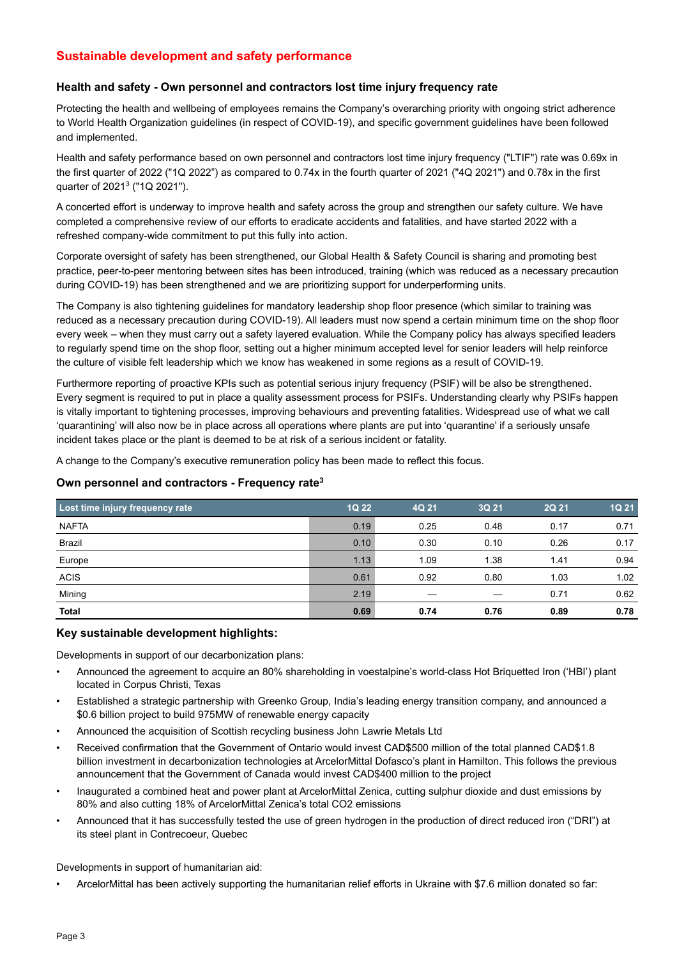## **Sustainable development and safety performance**

#### **Health and safety - Own personnel and contractors lost time injury frequency rate**

Protecting the health and wellbeing of employees remains the Company's overarching priority with ongoing strict adherence to World Health Organization guidelines (in respect of COVID-19), and specific government guidelines have been followed and implemented.

Health and safety performance based on own personnel and contractors lost time injury frequency ("LTIF") rate was 0.69x in the first quarter of 2022 ("1Q 2022") as compared to 0.74x in the fourth quarter of 2021 ("4Q 2021") and 0.78x in the first quarter of 2021<sup>3</sup> ("1Q 2021").

A concerted effort is underway to improve health and safety across the group and strengthen our safety culture. We have completed a comprehensive review of our efforts to eradicate accidents and fatalities, and have started 2022 with a refreshed company-wide commitment to put this fully into action.

Corporate oversight of safety has been strengthened, our Global Health & Safety Council is sharing and promoting best practice, peer-to-peer mentoring between sites has been introduced, training (which was reduced as a necessary precaution during COVID-19) has been strengthened and we are prioritizing support for underperforming units.

The Company is also tightening guidelines for mandatory leadership shop floor presence (which similar to training was reduced as a necessary precaution during COVID-19). All leaders must now spend a certain minimum time on the shop floor every week – when they must carry out a safety layered evaluation. While the Company policy has always specified leaders to regularly spend time on the shop floor, setting out a higher minimum accepted level for senior leaders will help reinforce the culture of visible felt leadership which we know has weakened in some regions as a result of COVID-19.

Furthermore reporting of proactive KPIs such as potential serious injury frequency (PSIF) will be also be strengthened. Every segment is required to put in place a quality assessment process for PSIFs. Understanding clearly why PSIFs happen is vitally important to tightening processes, improving behaviours and preventing fatalities. Widespread use of what we call 'quarantining' will also now be in place across all operations where plants are put into 'quarantine' if a seriously unsafe incident takes place or the plant is deemed to be at risk of a serious incident or fatality.

A change to the Company's executive remuneration policy has been made to reflect this focus.

## **Own personnel and contractors - Frequency rate3**

| Lost time injury frequency rate | 1Q 22 | 4Q 21 | 3Q 21 | <b>2Q 21</b> | <b>1Q 21</b> |
|---------------------------------|-------|-------|-------|--------------|--------------|
| <b>NAFTA</b>                    | 0.19  | 0.25  | 0.48  | 0.17         | 0.71         |
| Brazil                          | 0.10  | 0.30  | 0.10  | 0.26         | 0.17         |
| Europe                          | 1.13  | 1.09  | 1.38  | 1.41         | 0.94         |
| <b>ACIS</b>                     | 0.61  | 0.92  | 0.80  | 1.03         | 1.02         |
| Mining                          | 2.19  |       |       | 0.71         | 0.62         |
| <b>Total</b>                    | 0.69  | 0.74  | 0.76  | 0.89         | 0.78         |

## **Key sustainable development highlights:**

Developments in support of our decarbonization plans:

- Announced the agreement to acquire an 80% shareholding in voestalpine's world-class Hot Briquetted Iron ('HBI') plant located in Corpus Christi, Texas
- Established a strategic partnership with Greenko Group, India's leading energy transition company, and announced a \$0.6 billion project to build 975MW of renewable energy capacity
- Announced the acquisition of Scottish recycling business John Lawrie Metals Ltd
- Received confirmation that the Government of Ontario would invest CAD\$500 million of the total planned CAD\$1.8 billion investment in decarbonization technologies at ArcelorMittal Dofasco's plant in Hamilton. This follows the previous announcement that the Government of Canada would invest CAD\$400 million to the project
- Inaugurated a combined heat and power plant at ArcelorMittal Zenica, cutting sulphur dioxide and dust emissions by 80% and also cutting 18% of ArcelorMittal Zenica's total CO2 emissions
- Announced that it has successfully tested the use of green hydrogen in the production of direct reduced iron ("DRI") at its steel plant in Contrecoeur, Quebec

Developments in support of humanitarian aid:

• ArcelorMittal has been actively supporting the humanitarian relief efforts in Ukraine with \$7.6 million donated so far: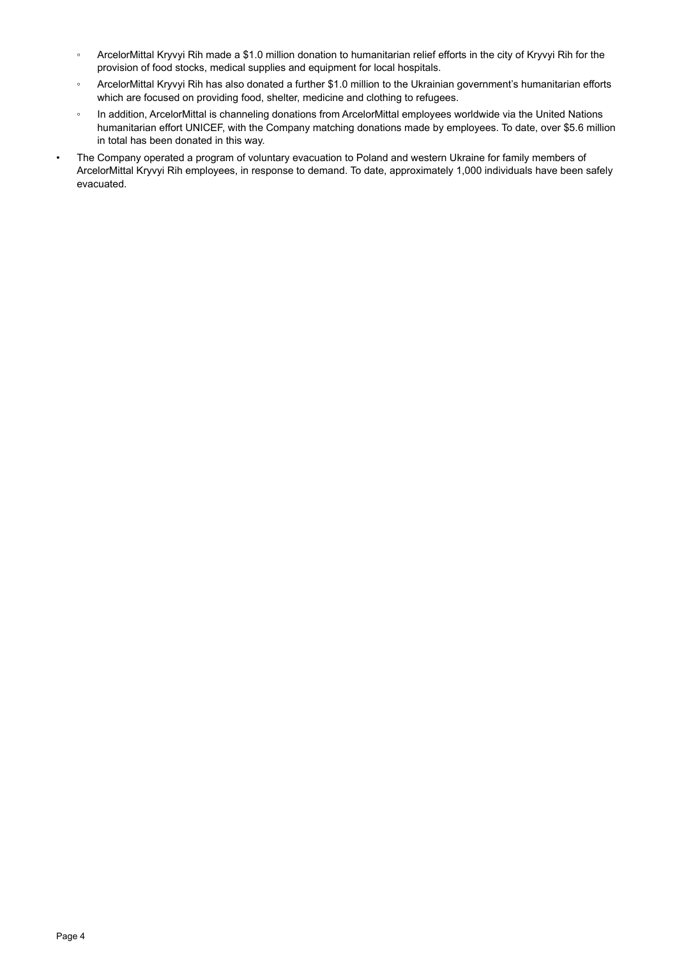- ArcelorMittal Kryvyi Rih made a \$1.0 million donation to humanitarian relief efforts in the city of Kryvyi Rih for the provision of food stocks, medical supplies and equipment for local hospitals.
- ArcelorMittal Kryvyi Rih has also donated a further \$1.0 million to the Ukrainian government's humanitarian efforts which are focused on providing food, shelter, medicine and clothing to refugees.
- In addition, ArcelorMittal is channeling donations from ArcelorMittal employees worldwide via the United Nations humanitarian effort UNICEF, with the Company matching donations made by employees. To date, over \$5.6 million in total has been donated in this way.
- The Company operated a program of voluntary evacuation to Poland and western Ukraine for family members of ArcelorMittal Kryvyi Rih employees, in response to demand. To date, approximately 1,000 individuals have been safely evacuated.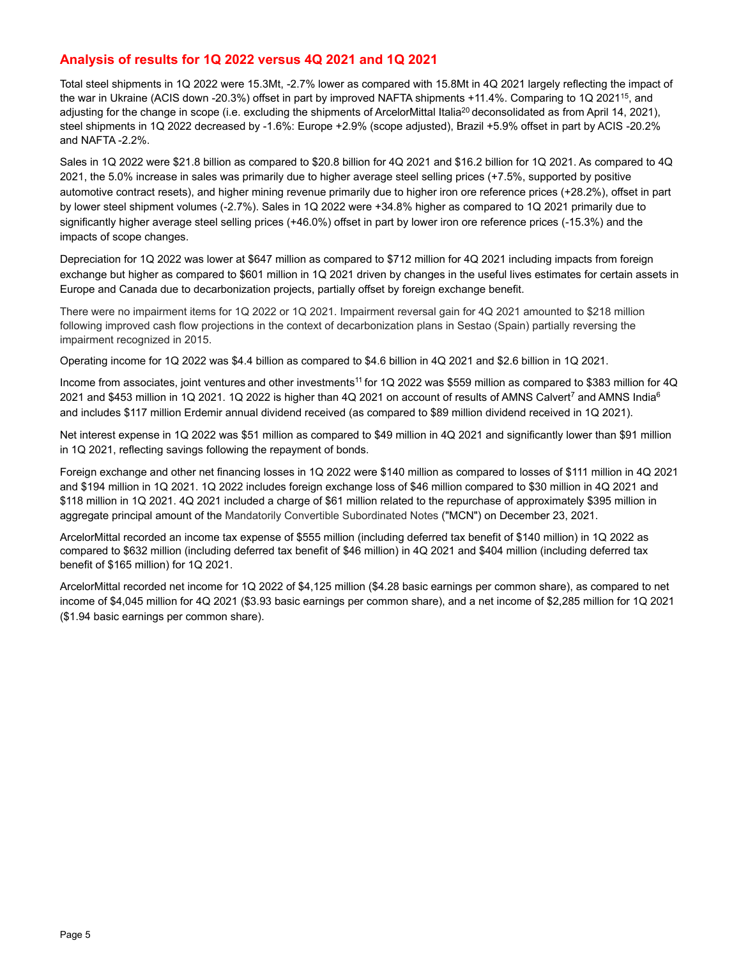## **Analysis of results for 1Q 2022 versus 4Q 2021 and 1Q 2021**

Total steel shipments in 1Q 2022 were 15.3Mt, -2.7% lower as compared with 15.8Mt in 4Q 2021 largely reflecting the impact of the war in Ukraine (ACIS down -20.3%) offset in part by improved NAFTA shipments +11.4%. Comparing to 1Q 202115, and adjusting for the change in scope (i.e. excluding the shipments of ArcelorMittal Italia<sup>20</sup> deconsolidated as from April 14, 2021), steel shipments in 1Q 2022 decreased by -1.6%: Europe +2.9% (scope adjusted), Brazil +5.9% offset in part by ACIS -20.2% and NAFTA -2.2%.

Sales in 1Q 2022 were \$21.8 billion as compared to \$20.8 billion for 4Q 2021 and \$16.2 billion for 1Q 2021. As compared to 4Q 2021, the 5.0% increase in sales was primarily due to higher average steel selling prices (+7.5%, supported by positive automotive contract resets), and higher mining revenue primarily due to higher iron ore reference prices (+28.2%), offset in part by lower steel shipment volumes (-2.7%). Sales in 1Q 2022 were +34.8% higher as compared to 1Q 2021 primarily due to significantly higher average steel selling prices (+46.0%) offset in part by lower iron ore reference prices (-15.3%) and the impacts of scope changes.

Depreciation for 1Q 2022 was lower at \$647 million as compared to \$712 million for 4Q 2021 including impacts from foreign exchange but higher as compared to \$601 million in 1Q 2021 driven by changes in the useful lives estimates for certain assets in Europe and Canada due to decarbonization projects, partially offset by foreign exchange benefit.

There were no impairment items for 1Q 2022 or 1Q 2021. Impairment reversal gain for 4Q 2021 amounted to \$218 million following improved cash flow projections in the context of decarbonization plans in Sestao (Spain) partially reversing the impairment recognized in 2015.

Operating income for 1Q 2022 was \$4.4 billion as compared to \$4.6 billion in 4Q 2021 and \$2.6 billion in 1Q 2021.

Income from associates, joint ventures and other investments<sup>11</sup> for 1Q 2022 was \$559 million as compared to \$383 million for 4Q 2021 and \$453 million in 1Q 2021. 1Q 2022 is higher than 4Q 2021 on account of results of AMNS Calvert<sup>7</sup> and AMNS India<sup>6</sup> and includes \$117 million Erdemir annual dividend received (as compared to \$89 million dividend received in 1Q 2021).

Net interest expense in 1Q 2022 was \$51 million as compared to \$49 million in 4Q 2021 and significantly lower than \$91 million in 1Q 2021, reflecting savings following the repayment of bonds.

Foreign exchange and other net financing losses in 1Q 2022 were \$140 million as compared to losses of \$111 million in 4Q 2021 and \$194 million in 1Q 2021. 1Q 2022 includes foreign exchange loss of \$46 million compared to \$30 million in 4Q 2021 and \$118 million in 1Q 2021. 4Q 2021 included a charge of \$61 million related to the repurchase of approximately \$395 million in aggregate principal amount of the Mandatorily Convertible Subordinated Notes ("MCN") on December 23, 2021.

ArcelorMittal recorded an income tax expense of \$555 million (including deferred tax benefit of \$140 million) in 1Q 2022 as compared to \$632 million (including deferred tax benefit of \$46 million) in 4Q 2021 and \$404 million (including deferred tax benefit of \$165 million) for 1Q 2021.

ArcelorMittal recorded net income for 1Q 2022 of \$4,125 million (\$4.28 basic earnings per common share), as compared to net income of \$4,045 million for 4Q 2021 (\$3.93 basic earnings per common share), and a net income of \$2,285 million for 1Q 2021 (\$1.94 basic earnings per common share).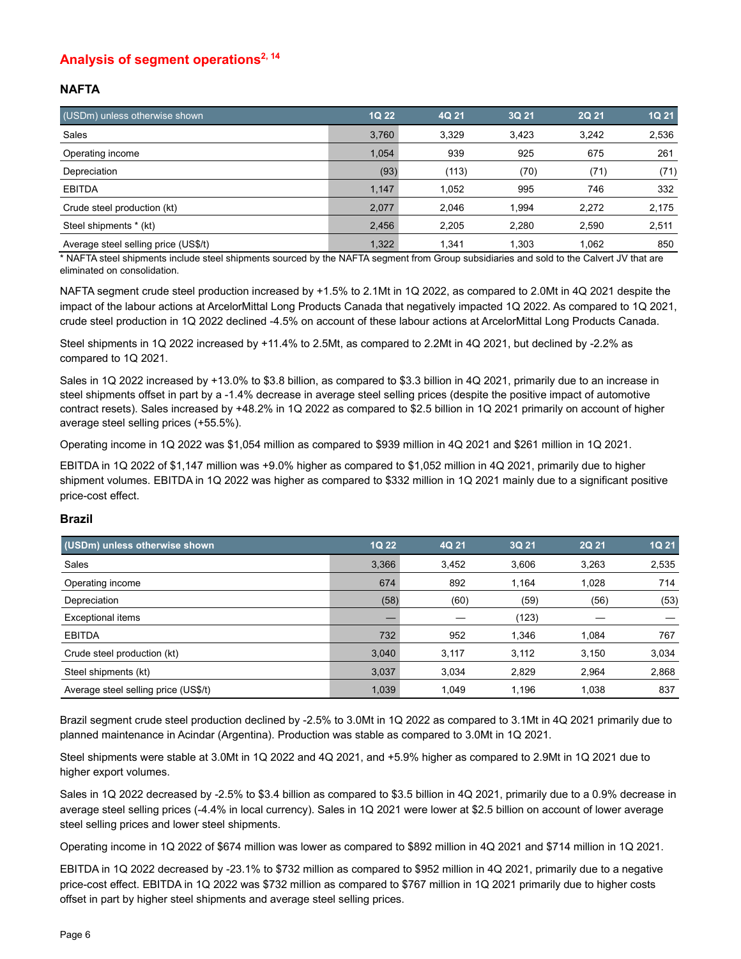# **Analysis of segment operations2, 14**

## **NAFTA**

| (USDm) unless otherwise shown        | <b>1Q 22</b> | 4Q 21 | 3Q 21 | <b>2Q 21</b> | <b>1Q 21</b> |
|--------------------------------------|--------------|-------|-------|--------------|--------------|
| Sales                                | 3,760        | 3.329 | 3.423 | 3.242        | 2,536        |
| Operating income                     | 1,054        | 939   | 925   | 675          | 261          |
| Depreciation                         | (93)         | (113) | (70)  | (71)         | (71)         |
| <b>EBITDA</b>                        | 1,147        | 1,052 | 995   | 746          | 332          |
| Crude steel production (kt)          | 2,077        | 2.046 | 1.994 | 2.272        | 2,175        |
| Steel shipments * (kt)               | 2,456        | 2.205 | 2,280 | 2,590        | 2,511        |
| Average steel selling price (US\$/t) | 1,322        | 1,341 | 1,303 | 1,062        | 850          |

\* NAFTA steel shipments include steel shipments sourced by the NAFTA segment from Group subsidiaries and sold to the Calvert JV that are eliminated on consolidation.

NAFTA segment crude steel production increased by +1.5% to 2.1Mt in 1Q 2022, as compared to 2.0Mt in 4Q 2021 despite the impact of the labour actions at ArcelorMittal Long Products Canada that negatively impacted 1Q 2022. As compared to 1Q 2021, crude steel production in 1Q 2022 declined -4.5% on account of these labour actions at ArcelorMittal Long Products Canada.

Steel shipments in 1Q 2022 increased by +11.4% to 2.5Mt, as compared to 2.2Mt in 4Q 2021, but declined by -2.2% as compared to 1Q 2021.

Sales in 1Q 2022 increased by +13.0% to \$3.8 billion, as compared to \$3.3 billion in 4Q 2021, primarily due to an increase in steel shipments offset in part by a -1.4% decrease in average steel selling prices (despite the positive impact of automotive contract resets). Sales increased by +48.2% in 1Q 2022 as compared to \$2.5 billion in 1Q 2021 primarily on account of higher average steel selling prices (+55.5%).

Operating income in 1Q 2022 was \$1,054 million as compared to \$939 million in 4Q 2021 and \$261 million in 1Q 2021.

EBITDA in 1Q 2022 of \$1,147 million was +9.0% higher as compared to \$1,052 million in 4Q 2021, primarily due to higher shipment volumes. EBITDA in 1Q 2022 was higher as compared to \$332 million in 1Q 2021 mainly due to a significant positive price-cost effect.

#### **Brazil**

| (USDm) unless otherwise shown        | <b>1Q 22</b> | 4Q 21 | 3Q 21 | <b>2Q 21</b> | <b>1Q 21</b> |
|--------------------------------------|--------------|-------|-------|--------------|--------------|
| <b>Sales</b>                         | 3,366        | 3,452 | 3,606 | 3,263        | 2,535        |
| Operating income                     | 674          | 892   | 1,164 | 1,028        | 714          |
| Depreciation                         | (58)         | (60)  | (59)  | (56)         | (53)         |
| Exceptional items                    |              |       | (123) |              |              |
| <b>EBITDA</b>                        | 732          | 952   | 1,346 | 1,084        | 767          |
| Crude steel production (kt)          | 3,040        | 3,117 | 3.112 | 3,150        | 3,034        |
| Steel shipments (kt)                 | 3,037        | 3,034 | 2,829 | 2,964        | 2,868        |
| Average steel selling price (US\$/t) | 1,039        | 1.049 | 1.196 | 1.038        | 837          |

Brazil segment crude steel production declined by -2.5% to 3.0Mt in 1Q 2022 as compared to 3.1Mt in 4Q 2021 primarily due to planned maintenance in Acindar (Argentina). Production was stable as compared to 3.0Mt in 1Q 2021.

Steel shipments were stable at 3.0Mt in 1Q 2022 and 4Q 2021, and +5.9% higher as compared to 2.9Mt in 1Q 2021 due to higher export volumes.

Sales in 1Q 2022 decreased by -2.5% to \$3.4 billion as compared to \$3.5 billion in 4Q 2021, primarily due to a 0.9% decrease in average steel selling prices (-4.4% in local currency). Sales in 1Q 2021 were lower at \$2.5 billion on account of lower average steel selling prices and lower steel shipments.

Operating income in 1Q 2022 of \$674 million was lower as compared to \$892 million in 4Q 2021 and \$714 million in 1Q 2021.

EBITDA in 1Q 2022 decreased by -23.1% to \$732 million as compared to \$952 million in 4Q 2021, primarily due to a negative price-cost effect. EBITDA in 1Q 2022 was \$732 million as compared to \$767 million in 1Q 2021 primarily due to higher costs offset in part by higher steel shipments and average steel selling prices.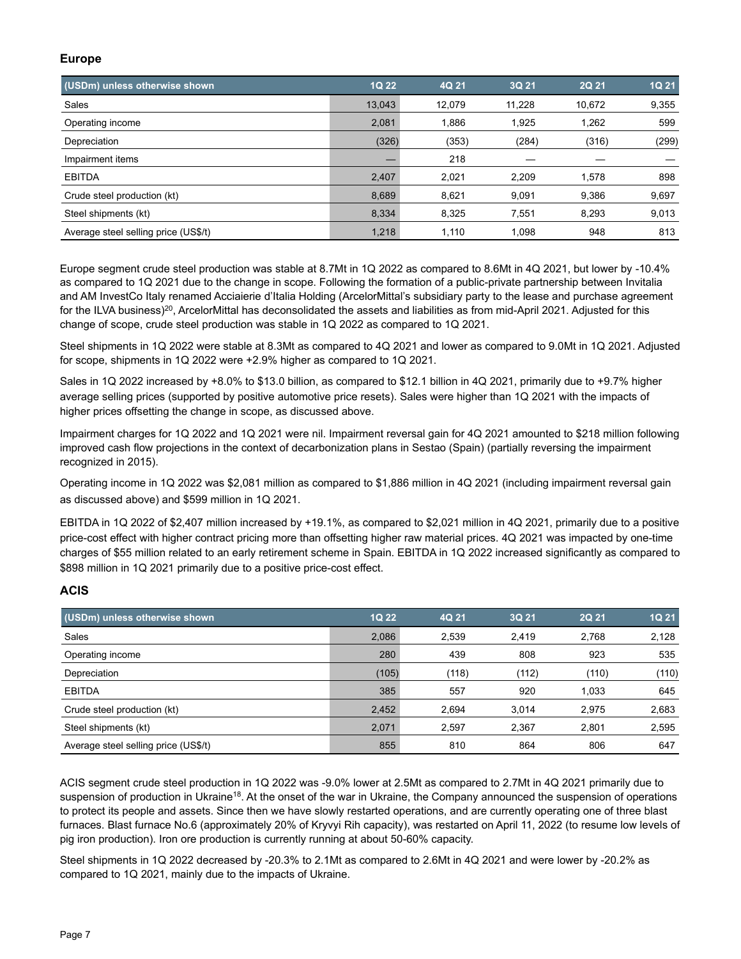## **Europe**

| (USDm) unless otherwise shown        | 1Q 22  | 4Q 21  | 3Q 21  | 2Q 21  | <b>1Q 21</b> |
|--------------------------------------|--------|--------|--------|--------|--------------|
| Sales                                | 13,043 | 12,079 | 11,228 | 10,672 | 9,355        |
| Operating income                     | 2,081  | 1,886  | 1,925  | 1,262  | 599          |
| Depreciation                         | (326)  | (353)  | (284)  | (316)  | (299)        |
| Impairment items                     |        | 218    |        |        |              |
| <b>EBITDA</b>                        | 2,407  | 2,021  | 2,209  | 1,578  | 898          |
| Crude steel production (kt)          | 8,689  | 8,621  | 9.091  | 9,386  | 9,697        |
| Steel shipments (kt)                 | 8,334  | 8,325  | 7,551  | 8,293  | 9,013        |
| Average steel selling price (US\$/t) | 1,218  | 1,110  | 1.098  | 948    | 813          |

Europe segment crude steel production was stable at 8.7Mt in 1Q 2022 as compared to 8.6Mt in 4Q 2021, but lower by -10.4% as compared to 1Q 2021 due to the change in scope. Following the formation of a public-private partnership between Invitalia and AM InvestCo Italy renamed Acciaierie d'Italia Holding (ArcelorMittal's subsidiary party to the lease and purchase agreement for the ILVA business)<sup>20</sup>, ArcelorMittal has deconsolidated the assets and liabilities as from mid-April 2021. Adjusted for this change of scope, crude steel production was stable in 1Q 2022 as compared to 1Q 2021.

Steel shipments in 1Q 2022 were stable at 8.3Mt as compared to 4Q 2021 and lower as compared to 9.0Mt in 1Q 2021. Adjusted for scope, shipments in 1Q 2022 were +2.9% higher as compared to 1Q 2021.

Sales in 1Q 2022 increased by +8.0% to \$13.0 billion, as compared to \$12.1 billion in 4Q 2021, primarily due to +9.7% higher average selling prices (supported by positive automotive price resets). Sales were higher than 1Q 2021 with the impacts of higher prices offsetting the change in scope, as discussed above.

Impairment charges for 1Q 2022 and 1Q 2021 were nil. Impairment reversal gain for 4Q 2021 amounted to \$218 million following improved cash flow projections in the context of decarbonization plans in Sestao (Spain) (partially reversing the impairment recognized in 2015).

Operating income in 1Q 2022 was \$2,081 million as compared to \$1,886 million in 4Q 2021 (including impairment reversal gain as discussed above) and \$599 million in 1Q 2021.

EBITDA in 1Q 2022 of \$2,407 million increased by +19.1%, as compared to \$2,021 million in 4Q 2021, primarily due to a positive price-cost effect with higher contract pricing more than offsetting higher raw material prices. 4Q 2021 was impacted by one-time charges of \$55 million related to an early retirement scheme in Spain. EBITDA in 1Q 2022 increased significantly as compared to \$898 million in 1Q 2021 primarily due to a positive price-cost effect.

## **ACIS**

| (USDm) unless otherwise shown        | <b>1Q 22</b> | 4Q 21 | 3Q 21 | 2Q 21 | <b>1Q 21</b> |
|--------------------------------------|--------------|-------|-------|-------|--------------|
| Sales                                | 2,086        | 2,539 | 2,419 | 2,768 | 2,128        |
| Operating income                     | 280          | 439   | 808   | 923   | 535          |
| Depreciation                         | (105)        | (118) | (112) | (110) | (110)        |
| <b>EBITDA</b>                        | 385          | 557   | 920   | 1,033 | 645          |
| Crude steel production (kt)          | 2,452        | 2.694 | 3.014 | 2.975 | 2,683        |
| Steel shipments (kt)                 | 2,071        | 2,597 | 2,367 | 2,801 | 2,595        |
| Average steel selling price (US\$/t) | 855          | 810   | 864   | 806   | 647          |

ACIS segment crude steel production in 1Q 2022 was -9.0% lower at 2.5Mt as compared to 2.7Mt in 4Q 2021 primarily due to suspension of production in Ukraine<sup>18</sup>. At the onset of the war in Ukraine, the Company announced the suspension of operations to protect its people and assets. Since then we have slowly restarted operations, and are currently operating one of three blast furnaces. Blast furnace No.6 (approximately 20% of Kryvyi Rih capacity), was restarted on April 11, 2022 (to resume low levels of pig iron production). Iron ore production is currently running at about 50-60% capacity.

Steel shipments in 1Q 2022 decreased by -20.3% to 2.1Mt as compared to 2.6Mt in 4Q 2021 and were lower by -20.2% as compared to 1Q 2021, mainly due to the impacts of Ukraine.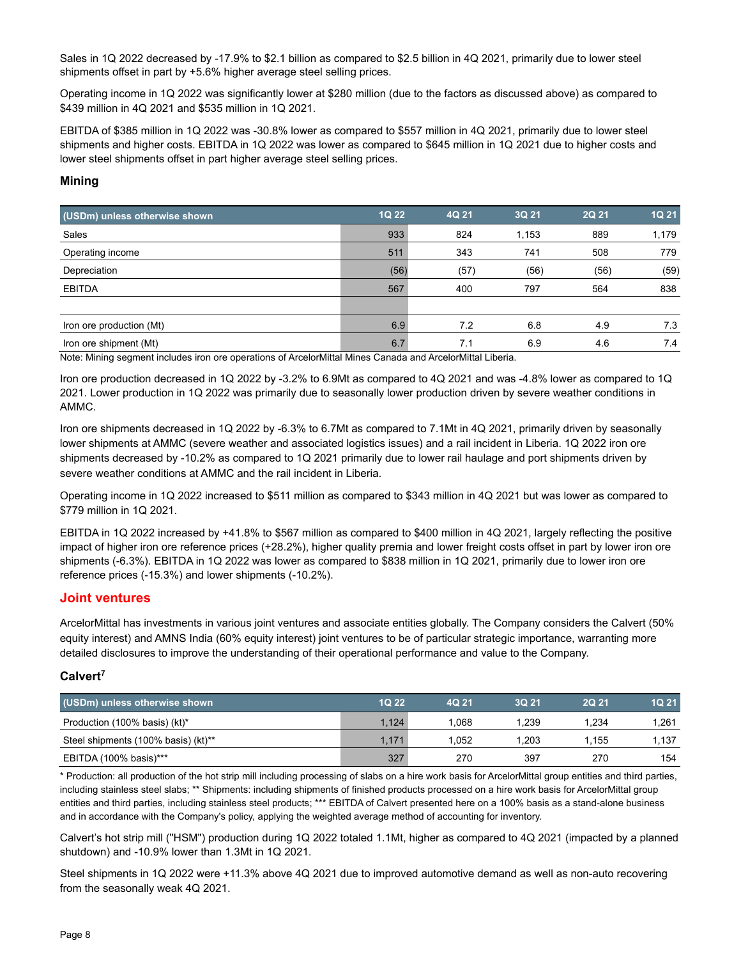Sales in 1Q 2022 decreased by -17.9% to \$2.1 billion as compared to \$2.5 billion in 4Q 2021, primarily due to lower steel shipments offset in part by +5.6% higher average steel selling prices.

Operating income in 1Q 2022 was significantly lower at \$280 million (due to the factors as discussed above) as compared to \$439 million in 4Q 2021 and \$535 million in 1Q 2021.

EBITDA of \$385 million in 1Q 2022 was -30.8% lower as compared to \$557 million in 4Q 2021, primarily due to lower steel shipments and higher costs. EBITDA in 1Q 2022 was lower as compared to \$645 million in 1Q 2021 due to higher costs and lower steel shipments offset in part higher average steel selling prices.

#### **Mining**

| (USDm) unless otherwise shown | <b>1Q 22</b> | 4Q 21 | 3Q 21 | 2Q 21 | <b>1Q 21</b> |
|-------------------------------|--------------|-------|-------|-------|--------------|
| Sales                         | 933          | 824   | 1,153 | 889   | 1,179        |
| Operating income              | 511          | 343   | 741   | 508   | 779          |
| Depreciation                  | (56)         | (57)  | (56)  | (56)  | (59)         |
| <b>EBITDA</b>                 | 567          | 400   | 797   | 564   | 838          |
|                               |              |       |       |       |              |
| Iron ore production (Mt)      | 6.9          | 7.2   | 6.8   | 4.9   | 7.3          |
| Iron ore shipment (Mt)        | 6.7          | 7.1   | 6.9   | 4.6   | 7.4          |

Note: Mining segment includes iron ore operations of ArcelorMittal Mines Canada and ArcelorMittal Liberia.

Iron ore production decreased in 1Q 2022 by -3.2% to 6.9Mt as compared to 4Q 2021 and was -4.8% lower as compared to 1Q 2021. Lower production in 1Q 2022 was primarily due to seasonally lower production driven by severe weather conditions in AMMC.

Iron ore shipments decreased in 1Q 2022 by -6.3% to 6.7Mt as compared to 7.1Mt in 4Q 2021, primarily driven by seasonally lower shipments at AMMC (severe weather and associated logistics issues) and a rail incident in Liberia. 1Q 2022 iron ore shipments decreased by -10.2% as compared to 1Q 2021 primarily due to lower rail haulage and port shipments driven by severe weather conditions at AMMC and the rail incident in Liberia.

Operating income in 1Q 2022 increased to \$511 million as compared to \$343 million in 4Q 2021 but was lower as compared to \$779 million in 1Q 2021.

EBITDA in 1Q 2022 increased by +41.8% to \$567 million as compared to \$400 million in 4Q 2021, largely reflecting the positive impact of higher iron ore reference prices (+28.2%), higher quality premia and lower freight costs offset in part by lower iron ore shipments (-6.3%). EBITDA in 1Q 2022 was lower as compared to \$838 million in 1Q 2021, primarily due to lower iron ore reference prices (-15.3%) and lower shipments (-10.2%).

## **Joint ventures**

ArcelorMittal has investments in various joint ventures and associate entities globally. The Company considers the Calvert (50% equity interest) and AMNS India (60% equity interest) joint ventures to be of particular strategic importance, warranting more detailed disclosures to improve the understanding of their operational performance and value to the Company.

#### **Calvert7**

| (USDm) unless otherwise shown       | <b>1Q 22</b> | 4Q 21 | 3Q 21 | <b>2Q 21</b> | <b>1Q 21</b> |
|-------------------------------------|--------------|-------|-------|--------------|--------------|
| Production (100% basis) (kt)*       | 1.124        | 1.068 | 1.239 | 1.234        | 1.261        |
| Steel shipments (100% basis) (kt)** | 1.171        | 1.052 | 1.203 | .155         | 1.137        |
| EBITDA (100% basis)***              | 327          | 270   | 397   | 270          | 154          |

\* Production: all production of the hot strip mill including processing of slabs on a hire work basis for ArcelorMittal group entities and third parties, including stainless steel slabs; \*\* Shipments: including shipments of finished products processed on a hire work basis for ArcelorMittal group entities and third parties, including stainless steel products; \*\*\* EBITDA of Calvert presented here on a 100% basis as a stand-alone business and in accordance with the Company's policy, applying the weighted average method of accounting for inventory.

Calvert's hot strip mill ("HSM") production during 1Q 2022 totaled 1.1Mt, higher as compared to 4Q 2021 (impacted by a planned shutdown) and -10.9% lower than 1.3Mt in 1Q 2021.

Steel shipments in 1Q 2022 were +11.3% above 4Q 2021 due to improved automotive demand as well as non-auto recovering from the seasonally weak 4Q 2021.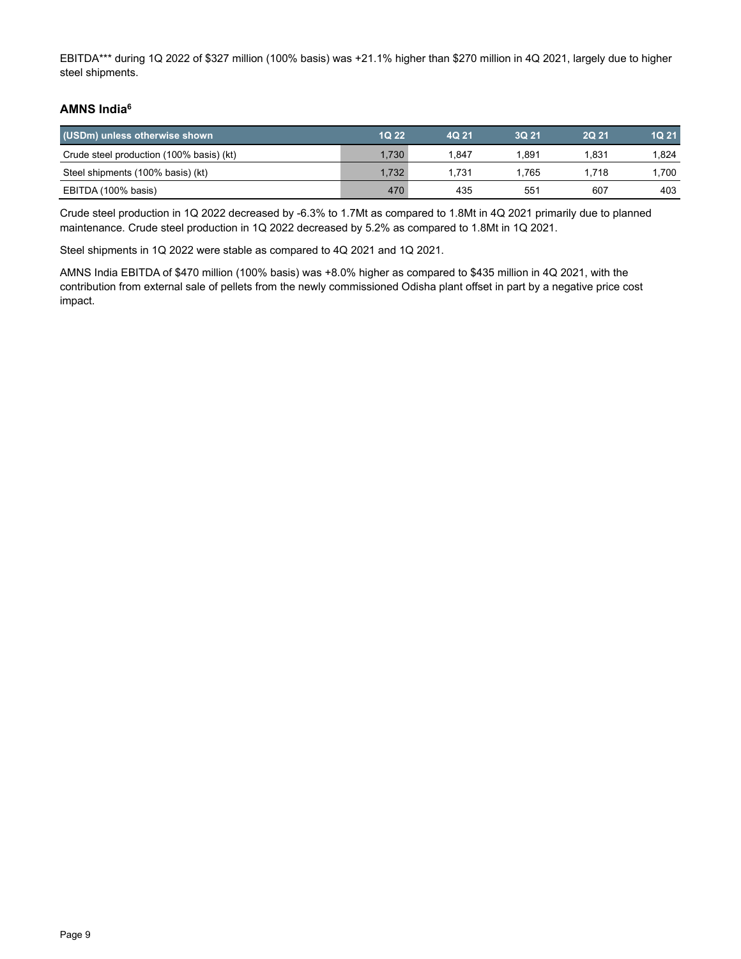EBITDA\*\*\* during 1Q 2022 of \$327 million (100% basis) was +21.1% higher than \$270 million in 4Q 2021, largely due to higher steel shipments.

#### **AMNS India6**

| (USDm) unless otherwise shown            | <b>1Q 22</b> | 4Q 21 | 3Q 21 | <b>2Q 21</b> | <b>1Q 21</b> |
|------------------------------------------|--------------|-------|-------|--------------|--------------|
| Crude steel production (100% basis) (kt) | 1.730        | 1.847 | 1.891 | 1.831        | 1.824        |
| Steel shipments (100% basis) (kt)        | 1.732        | 1.731 | 1.765 | 1.718        | .700         |
| EBITDA (100% basis)                      | 470          | 435   | 551   | 607          | 403          |

Crude steel production in 1Q 2022 decreased by -6.3% to 1.7Mt as compared to 1.8Mt in 4Q 2021 primarily due to planned maintenance. Crude steel production in 1Q 2022 decreased by 5.2% as compared to 1.8Mt in 1Q 2021.

Steel shipments in 1Q 2022 were stable as compared to 4Q 2021 and 1Q 2021.

AMNS India EBITDA of \$470 million (100% basis) was +8.0% higher as compared to \$435 million in 4Q 2021, with the contribution from external sale of pellets from the newly commissioned Odisha plant offset in part by a negative price cost impact.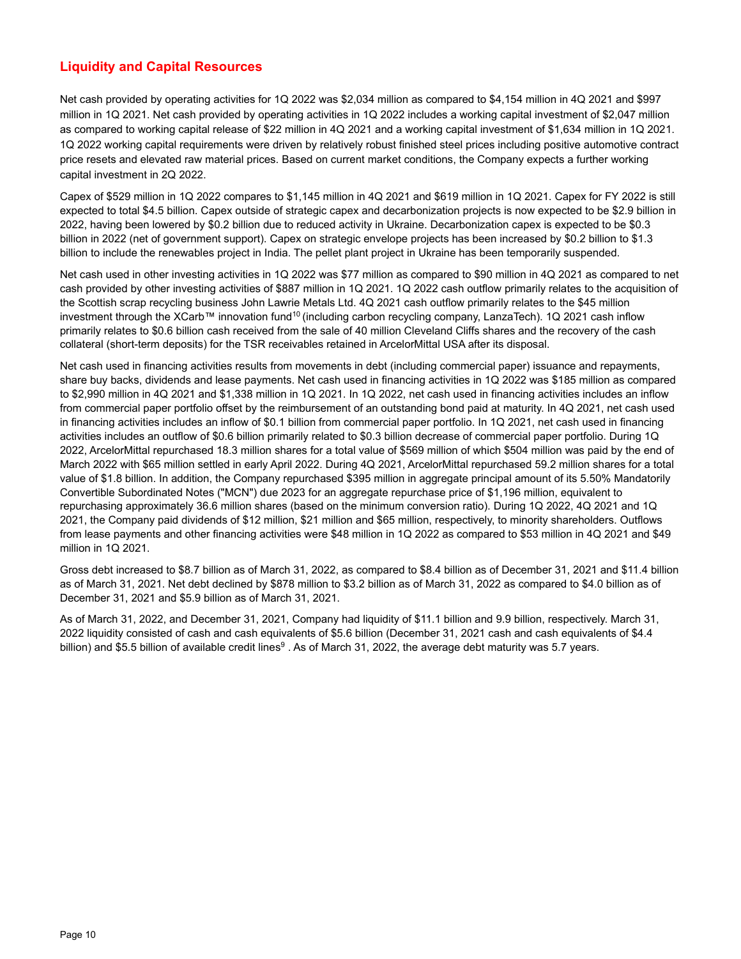# **Liquidity and Capital Resources**

Net cash provided by operating activities for 1Q 2022 was \$2,034 million as compared to \$4,154 million in 4Q 2021 and \$997 million in 1Q 2021. Net cash provided by operating activities in 1Q 2022 includes a working capital investment of \$2,047 million as compared to working capital release of \$22 million in 4Q 2021 and a working capital investment of \$1,634 million in 1Q 2021. 1Q 2022 working capital requirements were driven by relatively robust finished steel prices including positive automotive contract price resets and elevated raw material prices. Based on current market conditions, the Company expects a further working capital investment in 2Q 2022.

Capex of \$529 million in 1Q 2022 compares to \$1,145 million in 4Q 2021 and \$619 million in 1Q 2021. Capex for FY 2022 is still expected to total \$4.5 billion. Capex outside of strategic capex and decarbonization projects is now expected to be \$2.9 billion in 2022, having been lowered by \$0.2 billion due to reduced activity in Ukraine. Decarbonization capex is expected to be \$0.3 billion in 2022 (net of government support). Capex on strategic envelope projects has been increased by \$0.2 billion to \$1.3 billion to include the renewables project in India. The pellet plant project in Ukraine has been temporarily suspended.

Net cash used in other investing activities in 1Q 2022 was \$77 million as compared to \$90 million in 4Q 2021 as compared to net cash provided by other investing activities of \$887 million in 1Q 2021. 1Q 2022 cash outflow primarily relates to the acquisition of the Scottish scrap recycling business John Lawrie Metals Ltd. 4Q 2021 cash outflow primarily relates to the \$45 million investment through the XCarb™ innovation fund10 (including carbon recycling company, LanzaTech). 1Q 2021 cash inflow primarily relates to \$0.6 billion cash received from the sale of 40 million Cleveland Cliffs shares and the recovery of the cash collateral (short-term deposits) for the TSR receivables retained in ArcelorMittal USA after its disposal.

Net cash used in financing activities results from movements in debt (including commercial paper) issuance and repayments, share buy backs, dividends and lease payments. Net cash used in financing activities in 1Q 2022 was \$185 million as compared to \$2,990 million in 4Q 2021 and \$1,338 million in 1Q 2021. In 1Q 2022, net cash used in financing activities includes an inflow from commercial paper portfolio offset by the reimbursement of an outstanding bond paid at maturity. In 4Q 2021, net cash used in financing activities includes an inflow of \$0.1 billion from commercial paper portfolio. In 1Q 2021, net cash used in financing activities includes an outflow of \$0.6 billion primarily related to \$0.3 billion decrease of commercial paper portfolio. During 1Q 2022, ArcelorMittal repurchased 18.3 million shares for a total value of \$569 million of which \$504 million was paid by the end of March 2022 with \$65 million settled in early April 2022. During 4Q 2021, ArcelorMittal repurchased 59.2 million shares for a total value of \$1.8 billion. In addition, the Company repurchased \$395 million in aggregate principal amount of its 5.50% Mandatorily Convertible Subordinated Notes ("MCN") due 2023 for an aggregate repurchase price of \$1,196 million, equivalent to repurchasing approximately 36.6 million shares (based on the minimum conversion ratio). During 1Q 2022, 4Q 2021 and 1Q 2021, the Company paid dividends of \$12 million, \$21 million and \$65 million, respectively, to minority shareholders. Outflows from lease payments and other financing activities were \$48 million in 1Q 2022 as compared to \$53 million in 4Q 2021 and \$49 million in 1Q 2021.

Gross debt increased to \$8.7 billion as of March 31, 2022, as compared to \$8.4 billion as of December 31, 2021 and \$11.4 billion as of March 31, 2021. Net debt declined by \$878 million to \$3.2 billion as of March 31, 2022 as compared to \$4.0 billion as of December 31, 2021 and \$5.9 billion as of March 31, 2021.

As of March 31, 2022, and December 31, 2021, Company had liquidity of \$11.1 billion and 9.9 billion, respectively. March 31, 2022 liquidity consisted of cash and cash equivalents of \$5.6 billion (December 31, 2021 cash and cash equivalents of \$4.4 billion) and \$5.5 billion of available credit lines<sup>9</sup>. As of March 31, 2022, the average debt maturity was 5.7 years.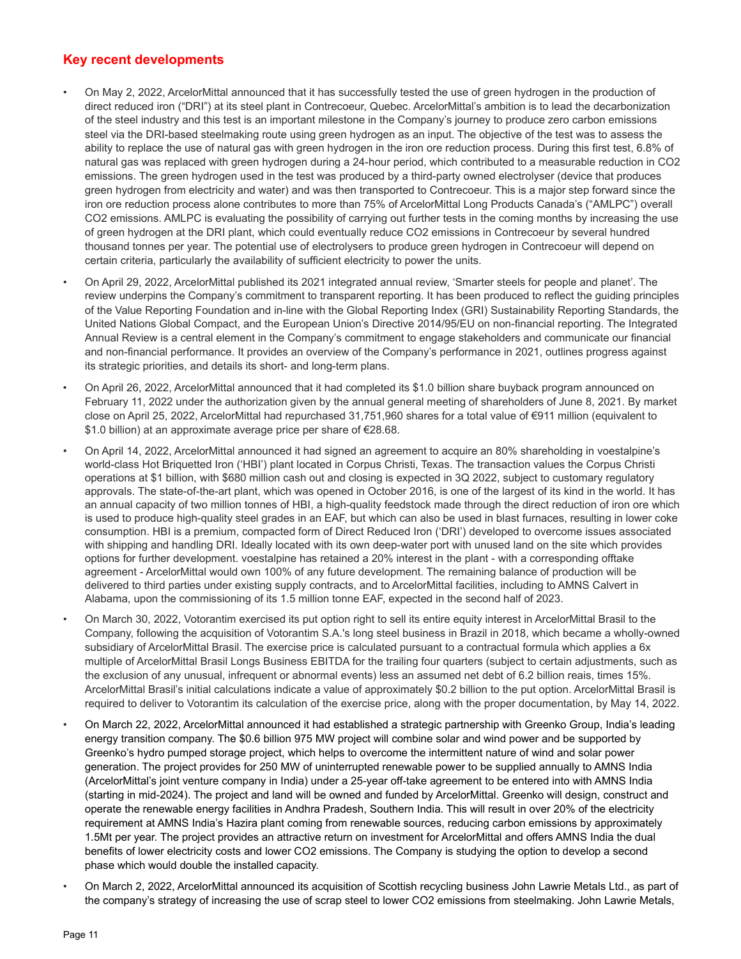## **Key recent developments**

- On May 2, 2022, ArcelorMittal announced that it has successfully tested the use of green hydrogen in the production of direct reduced iron ("DRI") at its steel plant in Contrecoeur, Quebec. ArcelorMittal's ambition is to lead the decarbonization of the steel industry and this test is an important milestone in the Company's journey to produce zero carbon emissions steel via the DRI-based steelmaking route using green hydrogen as an input. The objective of the test was to assess the ability to replace the use of natural gas with green hydrogen in the iron ore reduction process. During this first test, 6.8% of natural gas was replaced with green hydrogen during a 24-hour period, which contributed to a measurable reduction in CO2 emissions. The green hydrogen used in the test was produced by a third-party owned electrolyser (device that produces green hydrogen from electricity and water) and was then transported to Contrecoeur. This is a major step forward since the iron ore reduction process alone contributes to more than 75% of ArcelorMittal Long Products Canada's ("AMLPC") overall CO2 emissions. AMLPC is evaluating the possibility of carrying out further tests in the coming months by increasing the use of green hydrogen at the DRI plant, which could eventually reduce CO2 emissions in Contrecoeur by several hundred thousand tonnes per year. The potential use of electrolysers to produce green hydrogen in Contrecoeur will depend on certain criteria, particularly the availability of sufficient electricity to power the units.
- On April 29, 2022, ArcelorMittal published its 2021 integrated annual review, 'Smarter steels for people and planet'. The review underpins the Company's commitment to transparent reporting. It has been produced to reflect the guiding principles of the Value Reporting Foundation and in-line with the Global Reporting Index (GRI) Sustainability Reporting Standards, the United Nations Global Compact, and the European Union's Directive 2014/95/EU on non-financial reporting. The Integrated Annual Review is a central element in the Company's commitment to engage stakeholders and communicate our financial and non-financial performance. It provides an overview of the Company's performance in 2021, outlines progress against its strategic priorities, and details its short- and long-term plans.
- On April 26, 2022, ArcelorMittal announced that it had completed its \$1.0 billion share buyback program announced on February 11, 2022 under the authorization given by the annual general meeting of shareholders of June 8, 2021. By market close on April 25, 2022, ArcelorMittal had repurchased 31,751,960 shares for a total value of €911 million (equivalent to \$1.0 billion) at an approximate average price per share of €28.68.
- On April 14, 2022, ArcelorMittal announced it had signed an agreement to acquire an 80% shareholding in voestalpine's world-class Hot Briquetted Iron ('HBI') plant located in Corpus Christi, Texas. The transaction values the Corpus Christi operations at \$1 billion, with \$680 million cash out and closing is expected in 3Q 2022, subject to customary regulatory approvals. The state-of-the-art plant, which was opened in October 2016, is one of the largest of its kind in the world. It has an annual capacity of two million tonnes of HBI, a high-quality feedstock made through the direct reduction of iron ore which is used to produce high-quality steel grades in an EAF, but which can also be used in blast furnaces, resulting in lower coke consumption. HBI is a premium, compacted form of Direct Reduced Iron ('DRI') developed to overcome issues associated with shipping and handling DRI. Ideally located with its own deep-water port with unused land on the site which provides options for further development. voestalpine has retained a 20% interest in the plant - with a corresponding offtake agreement - ArcelorMittal would own 100% of any future development. The remaining balance of production will be delivered to third parties under existing supply contracts, and to ArcelorMittal facilities, including to AMNS Calvert in Alabama, upon the commissioning of its 1.5 million tonne EAF, expected in the second half of 2023.
- On March 30, 2022, Votorantim exercised its put option right to sell its entire equity interest in ArcelorMittal Brasil to the Company, following the acquisition of Votorantim S.A.'s long steel business in Brazil in 2018, which became a wholly-owned subsidiary of ArcelorMittal Brasil. The exercise price is calculated pursuant to a contractual formula which applies a 6x multiple of ArcelorMittal Brasil Longs Business EBITDA for the trailing four quarters (subject to certain adjustments, such as the exclusion of any unusual, infrequent or abnormal events) less an assumed net debt of 6.2 billion reais, times 15%. ArcelorMittal Brasil's initial calculations indicate a value of approximately \$0.2 billion to the put option. ArcelorMittal Brasil is required to deliver to Votorantim its calculation of the exercise price, along with the proper documentation, by May 14, 2022.
- On March 22, 2022, ArcelorMittal announced it had established a strategic partnership with Greenko Group, India's leading energy transition company. The \$0.6 billion 975 MW project will combine solar and wind power and be supported by Greenko's hydro pumped storage project, which helps to overcome the intermittent nature of wind and solar power generation. The project provides for 250 MW of uninterrupted renewable power to be supplied annually to AMNS India (ArcelorMittal's joint venture company in India) under a 25-year off-take agreement to be entered into with AMNS India (starting in mid-2024). The project and land will be owned and funded by ArcelorMittal. Greenko will design, construct and operate the renewable energy facilities in Andhra Pradesh, Southern India. This will result in over 20% of the electricity requirement at AMNS India's Hazira plant coming from renewable sources, reducing carbon emissions by approximately 1.5Mt per year. The project provides an attractive return on investment for ArcelorMittal and offers AMNS India the dual benefits of lower electricity costs and lower CO2 emissions. The Company is studying the option to develop a second phase which would double the installed capacity.
- On March 2, 2022, ArcelorMittal announced its acquisition of Scottish recycling business John Lawrie Metals Ltd., as part of the company's strategy of increasing the use of scrap steel to lower CO2 emissions from steelmaking. John Lawrie Metals,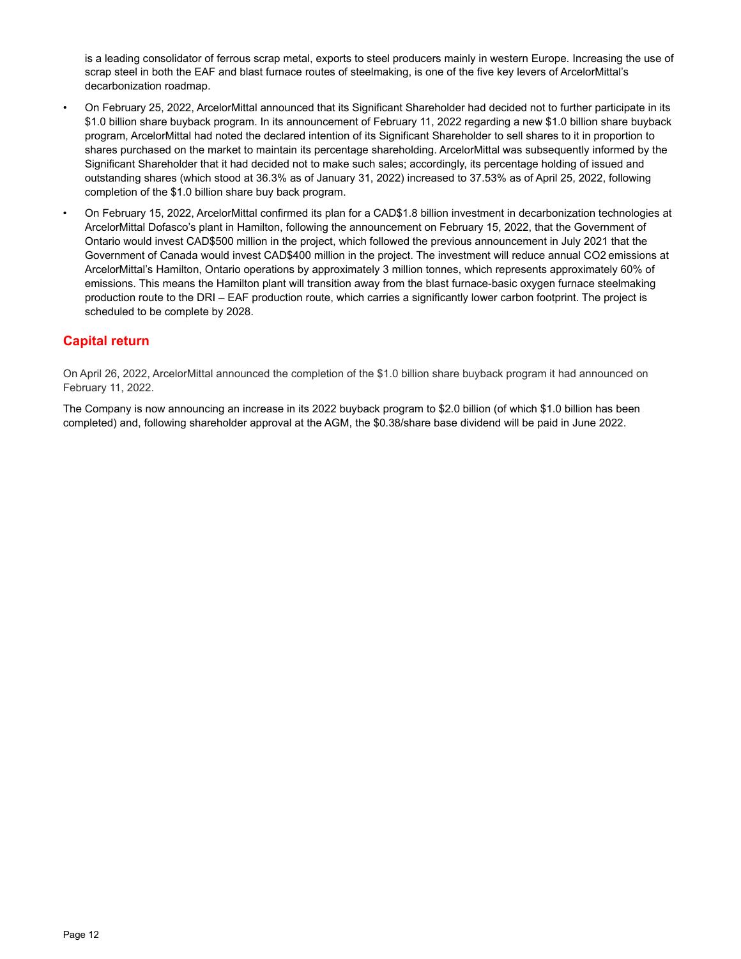is a leading consolidator of ferrous scrap metal, exports to steel producers mainly in western Europe. Increasing the use of scrap steel in both the EAF and blast furnace routes of steelmaking, is one of the five key levers of ArcelorMittal's decarbonization roadmap.

- On February 25, 2022, ArcelorMittal announced that its Significant Shareholder had decided not to further participate in its \$1.0 billion share buyback program. In its announcement of February 11, 2022 regarding a new \$1.0 billion share buyback program, ArcelorMittal had noted the declared intention of its Significant Shareholder to sell shares to it in proportion to shares purchased on the market to maintain its percentage shareholding. ArcelorMittal was subsequently informed by the Significant Shareholder that it had decided not to make such sales; accordingly, its percentage holding of issued and outstanding shares (which stood at 36.3% as of January 31, 2022) increased to 37.53% as of April 25, 2022, following completion of the \$1.0 billion share buy back program.
- On February 15, 2022, ArcelorMittal confirmed its plan for a CAD\$1.8 billion investment in decarbonization technologies at ArcelorMittal Dofasco's plant in Hamilton, following the announcement on February 15, 2022, that the Government of Ontario would invest CAD\$500 million in the project, which followed the previous announcement in July 2021 that the Government of Canada would invest CAD\$400 million in the project. The investment will reduce annual CO2 emissions at ArcelorMittal's Hamilton, Ontario operations by approximately 3 million tonnes, which represents approximately 60% of emissions. This means the Hamilton plant will transition away from the blast furnace-basic oxygen furnace steelmaking production route to the DRI – EAF production route, which carries a significantly lower carbon footprint. The project is scheduled to be complete by 2028.

## **Capital return**

On April 26, 2022, ArcelorMittal announced the completion of the \$1.0 billion share buyback program it had announced on February 11, 2022.

The Company is now announcing an increase in its 2022 buyback program to \$2.0 billion (of which \$1.0 billion has been completed) and, following shareholder approval at the AGM, the \$0.38/share base dividend will be paid in June 2022.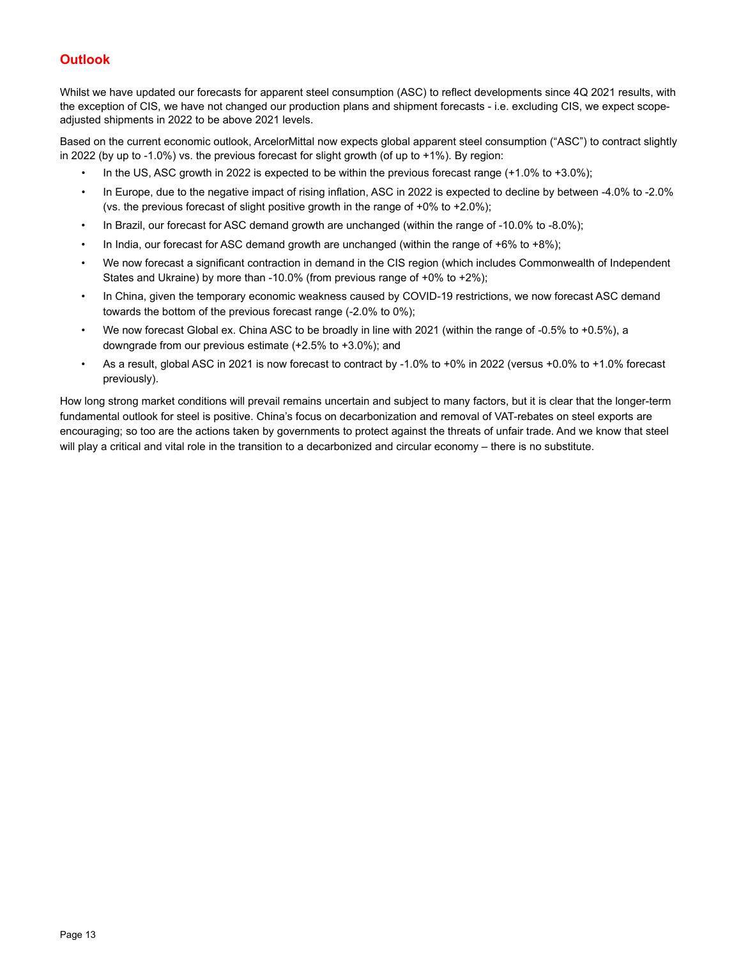# **Outlook**

Whilst we have updated our forecasts for apparent steel consumption (ASC) to reflect developments since 4Q 2021 results, with the exception of CIS, we have not changed our production plans and shipment forecasts - i.e. excluding CIS, we expect scopeadjusted shipments in 2022 to be above 2021 levels.

Based on the current economic outlook, ArcelorMittal now expects global apparent steel consumption ("ASC") to contract slightly in 2022 (by up to -1.0%) vs. the previous forecast for slight growth (of up to +1%). By region:

- In the US, ASC growth in 2022 is expected to be within the previous forecast range (+1.0% to +3.0%);
- In Europe, due to the negative impact of rising inflation, ASC in 2022 is expected to decline by between -4.0% to -2.0% (vs. the previous forecast of slight positive growth in the range of +0% to +2.0%);
- In Brazil, our forecast for ASC demand growth are unchanged (within the range of -10.0% to -8.0%);
- In India, our forecast for ASC demand growth are unchanged (within the range of +6% to +8%);
- We now forecast a significant contraction in demand in the CIS region (which includes Commonwealth of Independent States and Ukraine) by more than -10.0% (from previous range of +0% to +2%);
- In China, given the temporary economic weakness caused by COVID-19 restrictions, we now forecast ASC demand towards the bottom of the previous forecast range (-2.0% to 0%);
- We now forecast Global ex. China ASC to be broadly in line with 2021 (within the range of -0.5% to +0.5%), a downgrade from our previous estimate (+2.5% to +3.0%); and
- As a result, global ASC in 2021 is now forecast to contract by  $-1.0\%$  to  $+0\%$  in 2022 (versus  $+0.0\%$  to  $+1.0\%$  forecast previously).

How long strong market conditions will prevail remains uncertain and subject to many factors, but it is clear that the longer-term fundamental outlook for steel is positive. China's focus on decarbonization and removal of VAT-rebates on steel exports are encouraging; so too are the actions taken by governments to protect against the threats of unfair trade. And we know that steel will play a critical and vital role in the transition to a decarbonized and circular economy – there is no substitute.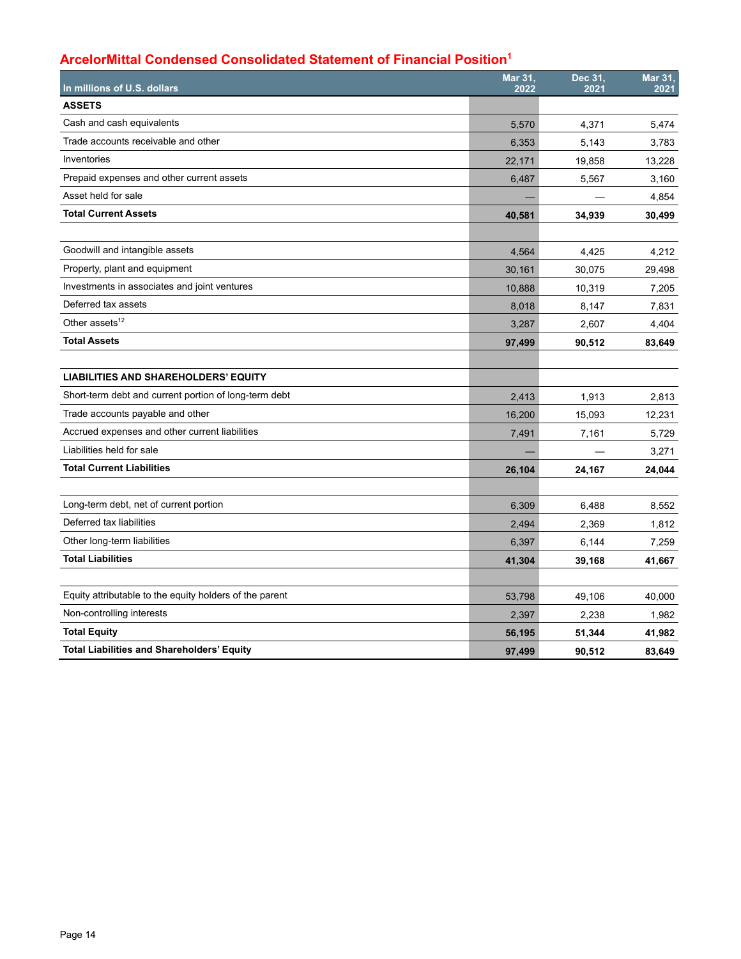# **ArcelorMittal Condensed Consolidated Statement of Financial Position<sup>1</sup>**

| In millions of U.S. dollars                             | Mar 31,<br>2022 | Dec 31,<br>2021 | Mar 31,<br>2021 |
|---------------------------------------------------------|-----------------|-----------------|-----------------|
| <b>ASSETS</b>                                           |                 |                 |                 |
| Cash and cash equivalents                               | 5,570           | 4,371           | 5,474           |
| Trade accounts receivable and other                     | 6,353           | 5,143           | 3,783           |
| Inventories                                             | 22,171          | 19,858          | 13,228          |
| Prepaid expenses and other current assets               | 6,487           | 5,567           | 3,160           |
| Asset held for sale                                     |                 |                 | 4,854           |
| <b>Total Current Assets</b>                             | 40,581          | 34,939          | 30,499          |
|                                                         |                 |                 |                 |
| Goodwill and intangible assets                          | 4,564           | 4,425           | 4,212           |
| Property, plant and equipment                           | 30,161          | 30,075          | 29,498          |
| Investments in associates and joint ventures            | 10,888          | 10,319          | 7,205           |
| Deferred tax assets                                     | 8,018           | 8,147           | 7,831           |
| Other assets <sup>12</sup>                              | 3,287           | 2,607           | 4,404           |
| <b>Total Assets</b>                                     | 97,499          | 90,512          | 83,649          |
|                                                         |                 |                 |                 |
| <b>LIABILITIES AND SHAREHOLDERS' EQUITY</b>             |                 |                 |                 |
| Short-term debt and current portion of long-term debt   | 2,413           | 1,913           | 2,813           |
| Trade accounts payable and other                        | 16,200          | 15,093          | 12,231          |
| Accrued expenses and other current liabilities          | 7,491           | 7,161           | 5,729           |
| Liabilities held for sale                               |                 |                 | 3,271           |
| <b>Total Current Liabilities</b>                        | 26,104          | 24,167          | 24,044          |
|                                                         |                 |                 |                 |
| Long-term debt, net of current portion                  | 6,309           | 6,488           | 8,552           |
| Deferred tax liabilities                                | 2,494           | 2,369           | 1,812           |
| Other long-term liabilities                             | 6,397           | 6,144           | 7,259           |
| <b>Total Liabilities</b>                                | 41,304          | 39,168          | 41,667          |
|                                                         |                 |                 |                 |
| Equity attributable to the equity holders of the parent | 53,798          | 49,106          | 40,000          |
| Non-controlling interests                               | 2,397           | 2,238           | 1,982           |
| <b>Total Equity</b>                                     | 56,195          | 51,344          | 41,982          |
| <b>Total Liabilities and Shareholders' Equity</b>       | 97,499          | 90,512          | 83,649          |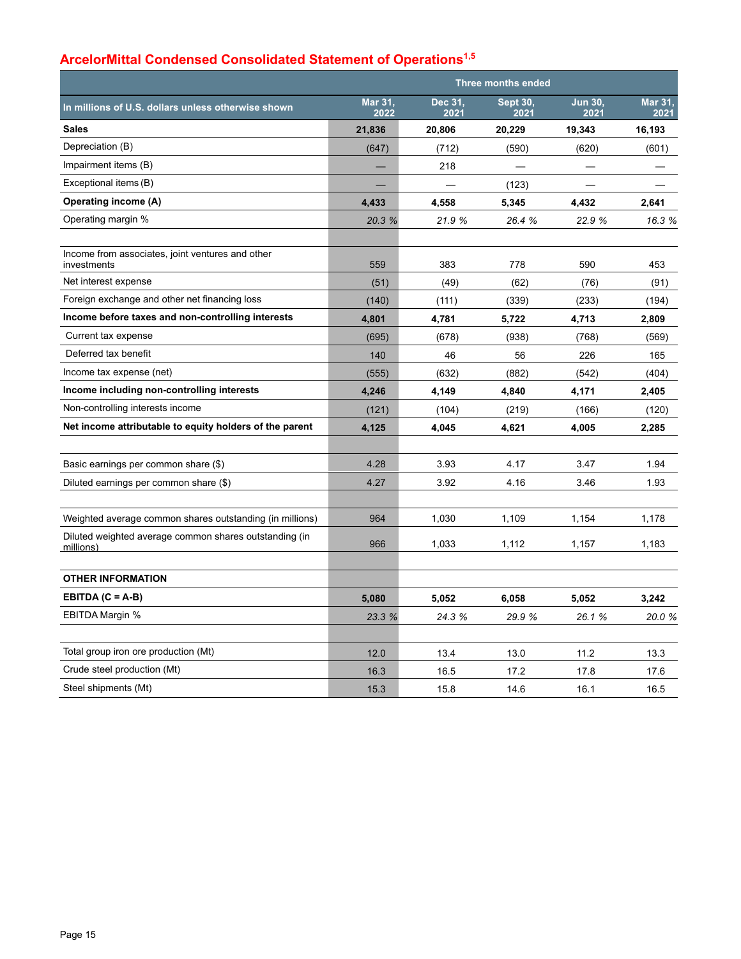# **ArcelorMittal Condensed Consolidated Statement of Operations1,5**

|                                                                     | <b>Three months ended</b> |                 |                         |                        |                 |  |  |
|---------------------------------------------------------------------|---------------------------|-----------------|-------------------------|------------------------|-----------------|--|--|
| In millions of U.S. dollars unless otherwise shown                  | Mar 31,<br>2022           | Dec 31,<br>2021 | <b>Sept 30,</b><br>2021 | <b>Jun 30,</b><br>2021 | Mar 31,<br>2021 |  |  |
| <b>Sales</b>                                                        | 21,836                    | 20,806          | 20,229                  | 19,343                 | 16,193          |  |  |
| Depreciation (B)                                                    | (647)                     | (712)           | (590)                   | (620)                  | (601)           |  |  |
| Impairment items (B)                                                |                           | 218             |                         |                        |                 |  |  |
| Exceptional items (B)                                               |                           |                 | (123)                   |                        |                 |  |  |
| <b>Operating income (A)</b>                                         | 4,433                     | 4,558           | 5,345                   | 4,432                  | 2,641           |  |  |
| Operating margin %                                                  | 20.3%                     | 21.9%           | 26.4 %                  | 22.9 %                 | 16.3%           |  |  |
| Income from associates, joint ventures and other<br>investments     | 559                       | 383             | 778                     | 590                    | 453             |  |  |
| Net interest expense                                                | (51)                      | (49)            | (62)                    | (76)                   | (91)            |  |  |
| Foreign exchange and other net financing loss                       | (140)                     | (111)           | (339)                   | (233)                  | (194)           |  |  |
| Income before taxes and non-controlling interests                   | 4,801                     | 4,781           | 5,722                   | 4,713                  | 2,809           |  |  |
| Current tax expense                                                 | (695)                     | (678)           | (938)                   | (768)                  | (569)           |  |  |
| Deferred tax benefit                                                | 140                       | 46              | 56                      | 226                    | 165             |  |  |
| Income tax expense (net)                                            | (555)                     | (632)           | (882)                   | (542)                  | (404)           |  |  |
| Income including non-controlling interests                          | 4,246                     | 4,149           | 4,840                   | 4,171                  | 2,405           |  |  |
| Non-controlling interests income                                    | (121)                     | (104)           | (219)                   | (166)                  | (120)           |  |  |
| Net income attributable to equity holders of the parent             | 4,125                     | 4,045           | 4,621                   | 4,005                  | 2,285           |  |  |
| Basic earnings per common share (\$)                                | 4.28                      | 3.93            | 4.17                    | 3.47                   | 1.94            |  |  |
| Diluted earnings per common share $(\$)$                            | 4.27                      | 3.92            | 4.16                    | 3.46                   | 1.93            |  |  |
| Weighted average common shares outstanding (in millions)            | 964                       | 1,030           | 1,109                   | 1,154                  | 1,178           |  |  |
| Diluted weighted average common shares outstanding (in<br>millions) | 966                       | 1,033           | 1,112                   | 1,157                  | 1,183           |  |  |
| <b>OTHER INFORMATION</b>                                            |                           |                 |                         |                        |                 |  |  |
| EBITDA $(C = A-B)$                                                  | 5,080                     | 5,052           | 6,058                   | 5,052                  | 3,242           |  |  |
| <b>EBITDA Margin %</b>                                              | 23.3 %                    | 24.3 %          | 29.9%                   | 26.1 %                 | 20.0%           |  |  |
| Total group iron ore production (Mt)                                | 12.0                      | 13.4            | 13.0                    | 11.2                   | 13.3            |  |  |
| Crude steel production (Mt)                                         | 16.3                      | 16.5            | 17.2                    | 17.8                   | 17.6            |  |  |
| Steel shipments (Mt)                                                | 15.3                      | 15.8            | 14.6                    | 16.1                   | 16.5            |  |  |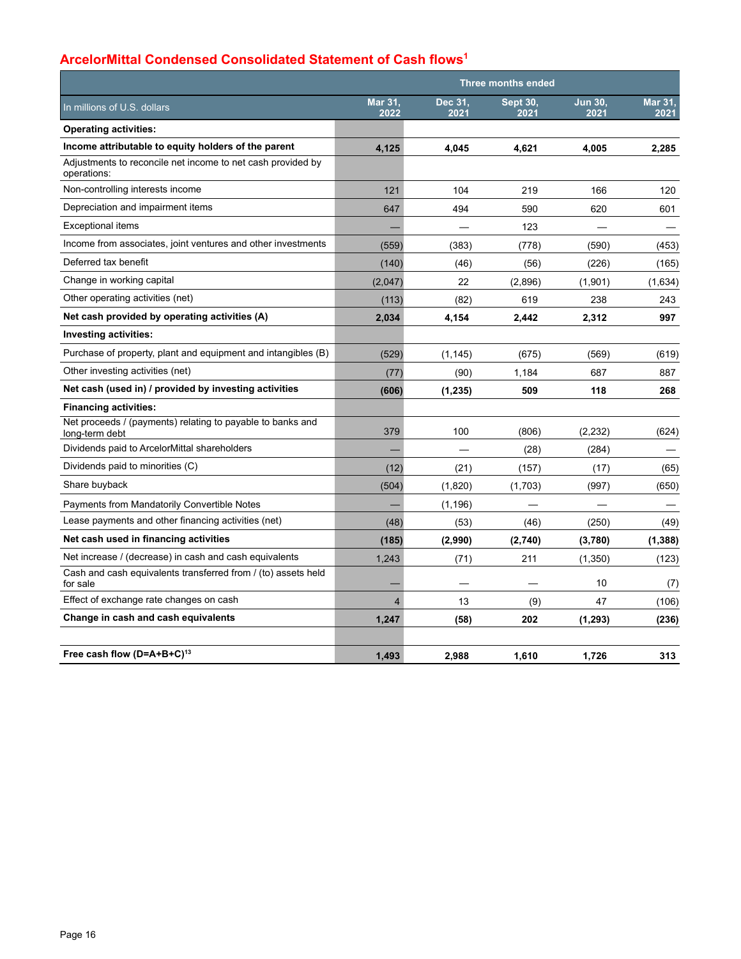# **ArcelorMittal Condensed Consolidated Statement of Cash flows<sup>1</sup>**

|                                                                              | <b>Three months ended</b> |                 |                         |                        |                        |
|------------------------------------------------------------------------------|---------------------------|-----------------|-------------------------|------------------------|------------------------|
| In millions of U.S. dollars                                                  | Mar 31.<br>2022           | Dec 31.<br>2021 | <b>Sept 30,</b><br>2021 | <b>Jun 30.</b><br>2021 | <b>Mar 31.</b><br>2021 |
| <b>Operating activities:</b>                                                 |                           |                 |                         |                        |                        |
| Income attributable to equity holders of the parent                          | 4,125                     | 4.045           | 4.621                   | 4.005                  | 2,285                  |
| Adjustments to reconcile net income to net cash provided by<br>operations:   |                           |                 |                         |                        |                        |
| Non-controlling interests income                                             | 121                       | 104             | 219                     | 166                    | 120                    |
| Depreciation and impairment items                                            | 647                       | 494             | 590                     | 620                    | 601                    |
| Exceptional items                                                            |                           |                 | 123                     |                        |                        |
| Income from associates, joint ventures and other investments                 | (559)                     | (383)           | (778)                   | (590)                  | (453)                  |
| Deferred tax benefit                                                         | (140)                     | (46)            | (56)                    | (226)                  | (165)                  |
| Change in working capital                                                    | (2,047)                   | 22              | (2,896)                 | (1,901)                | (1,634)                |
| Other operating activities (net)                                             | (113)                     | (82)            | 619                     | 238                    | 243                    |
| Net cash provided by operating activities (A)                                | 2,034                     | 4,154           | 2,442                   | 2,312                  | 997                    |
| Investing activities:                                                        |                           |                 |                         |                        |                        |
| Purchase of property, plant and equipment and intangibles (B)                | (529)                     | (1, 145)        | (675)                   | (569)                  | (619)                  |
| Other investing activities (net)                                             | (77)                      | (90)            | 1,184                   | 687                    | 887                    |
| Net cash (used in) / provided by investing activities                        | (606)                     | (1, 235)        | 509                     | 118                    | 268                    |
| <b>Financing activities:</b>                                                 |                           |                 |                         |                        |                        |
| Net proceeds / (payments) relating to payable to banks and<br>long-term debt | 379                       | 100             | (806)                   | (2, 232)               | (624)                  |
| Dividends paid to ArcelorMittal shareholders                                 |                           |                 | (28)                    | (284)                  |                        |
| Dividends paid to minorities (C)                                             | (12)                      | (21)            | (157)                   | (17)                   | (65)                   |
| Share buyback                                                                | (504)                     | (1,820)         | (1,703)                 | (997)                  | (650)                  |
| <b>Payments from Mandatorily Convertible Notes</b>                           |                           | (1, 196)        |                         |                        |                        |
| Lease payments and other financing activities (net)                          | (48)                      | (53)            | (46)                    | (250)                  | (49)                   |
| Net cash used in financing activities                                        | (185)                     | (2,990)         | (2,740)                 | (3,780)                | (1,388)                |
| Net increase / (decrease) in cash and cash equivalents                       | 1,243                     | (71)            | 211                     | (1,350)                | (123)                  |
| Cash and cash equivalents transferred from / (to) assets held<br>for sale    |                           |                 |                         | 10                     | (7)                    |
| Effect of exchange rate changes on cash                                      | $\overline{4}$            | 13              | (9)                     | 47                     | (106)                  |
| Change in cash and cash equivalents                                          | 1,247                     | (58)            | 202                     | (1, 293)               | (236)                  |
|                                                                              |                           |                 |                         |                        |                        |
| Free cash flow $(D=A+B+C)^{13}$                                              | 1,493                     | 2,988           | 1,610                   | 1,726                  | 313                    |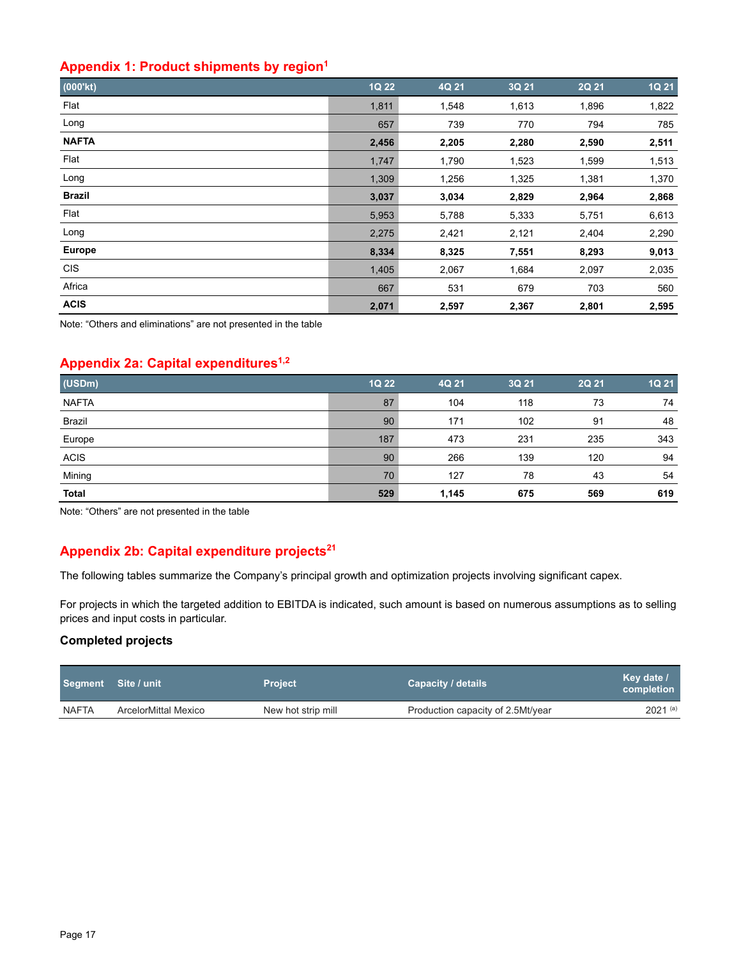# **Appendix 1: Product shipments by region<sup>1</sup>**

| (000'kt)      | <b>1Q 22</b> | 4Q 21 | 3Q 21 | 2Q 21 | <b>1Q 21</b> |
|---------------|--------------|-------|-------|-------|--------------|
| Flat          | 1,811        | 1,548 | 1,613 | 1,896 | 1,822        |
| Long          | 657          | 739   | 770   | 794   | 785          |
| <b>NAFTA</b>  | 2,456        | 2,205 | 2,280 | 2,590 | 2,511        |
| Flat          | 1,747        | 1,790 | 1,523 | 1,599 | 1,513        |
| Long          | 1,309        | 1,256 | 1,325 | 1,381 | 1,370        |
| <b>Brazil</b> | 3,037        | 3,034 | 2,829 | 2,964 | 2,868        |
| Flat          | 5,953        | 5,788 | 5,333 | 5,751 | 6,613        |
| Long          | 2,275        | 2,421 | 2,121 | 2,404 | 2,290        |
| <b>Europe</b> | 8,334        | 8,325 | 7,551 | 8,293 | 9,013        |
| <b>CIS</b>    | 1,405        | 2,067 | 1,684 | 2,097 | 2,035        |
| Africa        | 667          | 531   | 679   | 703   | 560          |
| <b>ACIS</b>   | 2,071        | 2,597 | 2,367 | 2,801 | 2,595        |

Note: "Others and eliminations" are not presented in the table

# **Appendix 2a: Capital expenditures1,2**

| (USDm)       | 1Q 22 | 4Q 21 | 3Q 21 | 2Q 21 | 1Q 21 |
|--------------|-------|-------|-------|-------|-------|
| <b>NAFTA</b> | 87    | 104   | 118   | 73    | 74    |
| Brazil       | 90    | 171   | 102   | 91    | 48    |
| Europe       | 187   | 473   | 231   | 235   | 343   |
| <b>ACIS</b>  | 90    | 266   | 139   | 120   | 94    |
| Mining       | 70    | 127   | 78    | 43    | 54    |
| <b>Total</b> | 529   | 1,145 | 675   | 569   | 619   |

Note: "Others" are not presented in the table

# **Appendix 2b: Capital expenditure projects<sup>21</sup>**

The following tables summarize the Company's principal growth and optimization projects involving significant capex.

For projects in which the targeted addition to EBITDA is indicated, such amount is based on numerous assumptions as to selling prices and input costs in particular.

## **Completed projects**

|              | Segment Site / unit  | <b>Project</b>     | Capacity / details                | Key date /<br>completion |
|--------------|----------------------|--------------------|-----------------------------------|--------------------------|
| <b>NAFTA</b> | ArcelorMittal Mexico | New hot strip mill | Production capacity of 2.5Mt/year | $2021^{(a)}$             |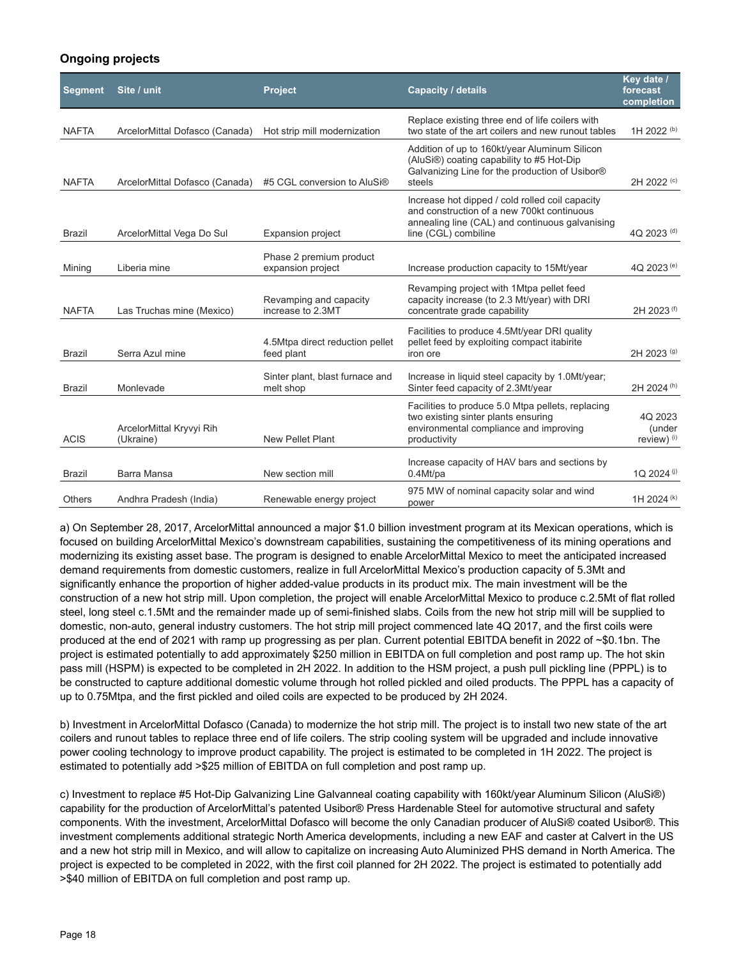## **Ongoing projects**

| <b>Segment</b> | Site / unit                           | <b>Project</b>                                | <b>Capacity / details</b>                                                                                                                                                | Key date /<br>forecast<br>completion |
|----------------|---------------------------------------|-----------------------------------------------|--------------------------------------------------------------------------------------------------------------------------------------------------------------------------|--------------------------------------|
| <b>NAFTA</b>   | ArcelorMittal Dofasco (Canada)        | Hot strip mill modernization                  | Replace existing three end of life coilers with<br>two state of the art coilers and new runout tables                                                                    | 1H 2022 <sup>(b)</sup>               |
| <b>NAFTA</b>   | ArcelorMittal Dofasco (Canada)        | #5 CGL conversion to AluSi®                   | Addition of up to 160kt/year Aluminum Silicon<br>(AluSi®) coating capability to #5 Hot-Dip<br>Galvanizing Line for the production of Usibor®<br>steels                   | 2H 2022 (c)                          |
| <b>Brazil</b>  | ArcelorMittal Vega Do Sul             | <b>Expansion project</b>                      | Increase hot dipped / cold rolled coil capacity<br>and construction of a new 700kt continuous<br>annealing line (CAL) and continuous galvanising<br>line (CGL) combiline | 4Q 2023 <sup>(d)</sup>               |
| Mining         | Liberia mine                          | Phase 2 premium product<br>expansion project  | Increase production capacity to 15Mt/year                                                                                                                                | 4Q 2023 <sup>(e)</sup>               |
| <b>NAFTA</b>   | Las Truchas mine (Mexico)             | Revamping and capacity<br>increase to 2.3MT   | Revamping project with 1Mtpa pellet feed<br>capacity increase (to 2.3 Mt/year) with DRI<br>concentrate grade capability                                                  | $2H$ 2023 <sup>(f)</sup>             |
| <b>Brazil</b>  | Serra Azul mine                       | 4.5Mtpa direct reduction pellet<br>feed plant | Facilities to produce 4.5Mt/year DRI quality<br>pellet feed by exploiting compact itabirite<br>iron ore                                                                  | 2H 2023 (g)                          |
| <b>Brazil</b>  | Monlevade                             | Sinter plant, blast furnace and<br>melt shop  | Increase in liquid steel capacity by 1.0Mt/year;<br>Sinter feed capacity of 2.3Mt/year                                                                                   | 2H 2024 (h)                          |
| <b>ACIS</b>    | ArcelorMittal Kryvyi Rih<br>(Ukraine) | <b>New Pellet Plant</b>                       | Facilities to produce 5.0 Mtpa pellets, replacing<br>two existing sinter plants ensuring<br>environmental compliance and improving<br>productivity                       | 4Q 2023<br>(under<br>review) $(i)$   |
| <b>Brazil</b>  | Barra Mansa                           | New section mill                              | Increase capacity of HAV bars and sections by<br>$0.4Mt$ /pa                                                                                                             | 1Q 2024 $(1)$                        |
| <b>Others</b>  | Andhra Pradesh (India)                | Renewable energy project                      | 975 MW of nominal capacity solar and wind<br>power                                                                                                                       | 1H 2024 $(k)$                        |

a) On September 28, 2017, ArcelorMittal announced a major \$1.0 billion investment program at its Mexican operations, which is focused on building ArcelorMittal Mexico's downstream capabilities, sustaining the competitiveness of its mining operations and modernizing its existing asset base. The program is designed to enable ArcelorMittal Mexico to meet the anticipated increased demand requirements from domestic customers, realize in full ArcelorMittal Mexico's production capacity of 5.3Mt and significantly enhance the proportion of higher added-value products in its product mix. The main investment will be the construction of a new hot strip mill. Upon completion, the project will enable ArcelorMittal Mexico to produce c.2.5Mt of flat rolled steel, long steel c.1.5Mt and the remainder made up of semi-finished slabs. Coils from the new hot strip mill will be supplied to domestic, non-auto, general industry customers. The hot strip mill project commenced late 4Q 2017, and the first coils were produced at the end of 2021 with ramp up progressing as per plan. Current potential EBITDA benefit in 2022 of ~\$0.1bn. The project is estimated potentially to add approximately \$250 million in EBITDA on full completion and post ramp up. The hot skin pass mill (HSPM) is expected to be completed in 2H 2022. In addition to the HSM project, a push pull pickling line (PPPL) is to be constructed to capture additional domestic volume through hot rolled pickled and oiled products. The PPPL has a capacity of up to 0.75Mtpa, and the first pickled and oiled coils are expected to be produced by 2H 2024.

b) Investment in ArcelorMittal Dofasco (Canada) to modernize the hot strip mill. The project is to install two new state of the art coilers and runout tables to replace three end of life coilers. The strip cooling system will be upgraded and include innovative power cooling technology to improve product capability. The project is estimated to be completed in 1H 2022. The project is estimated to potentially add >\$25 million of EBITDA on full completion and post ramp up.

c) Investment to replace #5 Hot-Dip Galvanizing Line Galvanneal coating capability with 160kt/year Aluminum Silicon (AluSi®) capability for the production of ArcelorMittal's patented Usibor® Press Hardenable Steel for automotive structural and safety components. With the investment, ArcelorMittal Dofasco will become the only Canadian producer of AluSi® coated Usibor®. This investment complements additional strategic North America developments, including a new EAF and caster at Calvert in the US and a new hot strip mill in Mexico, and will allow to capitalize on increasing Auto Aluminized PHS demand in North America. The project is expected to be completed in 2022, with the first coil planned for 2H 2022. The project is estimated to potentially add >\$40 million of EBITDA on full completion and post ramp up.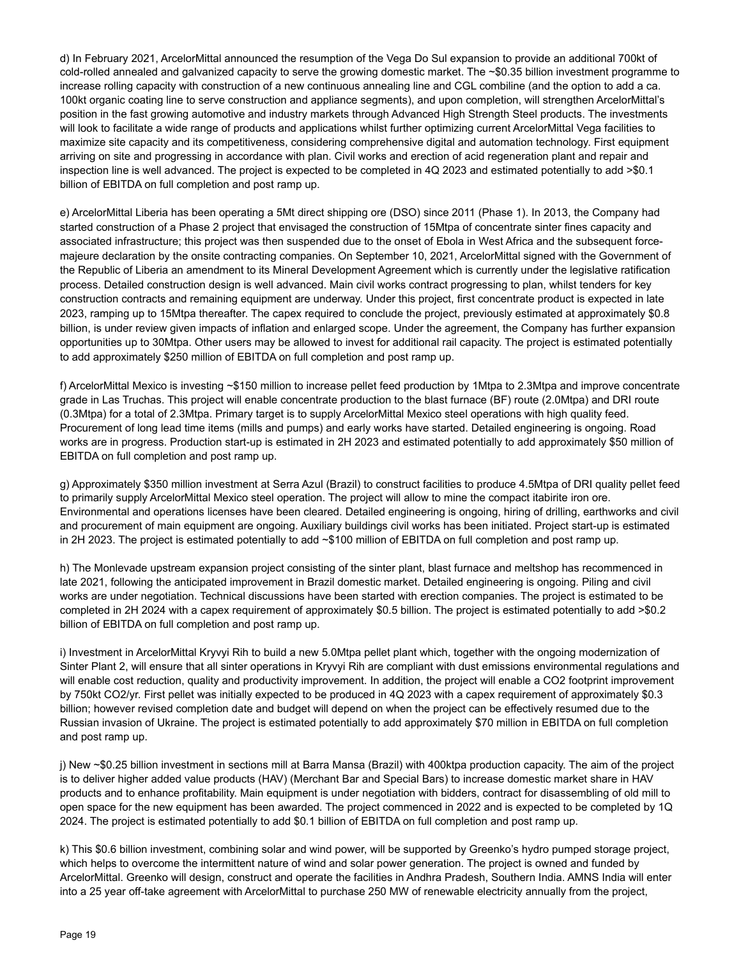d) In February 2021, ArcelorMittal announced the resumption of the Vega Do Sul expansion to provide an additional 700kt of cold-rolled annealed and galvanized capacity to serve the growing domestic market. The ~\$0.35 billion investment programme to increase rolling capacity with construction of a new continuous annealing line and CGL combiline (and the option to add a ca. 100kt organic coating line to serve construction and appliance segments), and upon completion, will strengthen ArcelorMittal's position in the fast growing automotive and industry markets through Advanced High Strength Steel products. The investments will look to facilitate a wide range of products and applications whilst further optimizing current ArcelorMittal Vega facilities to maximize site capacity and its competitiveness, considering comprehensive digital and automation technology. First equipment arriving on site and progressing in accordance with plan. Civil works and erection of acid regeneration plant and repair and inspection line is well advanced. The project is expected to be completed in 4Q 2023 and estimated potentially to add >\$0.1 billion of EBITDA on full completion and post ramp up.

e) ArcelorMittal Liberia has been operating a 5Mt direct shipping ore (DSO) since 2011 (Phase 1). In 2013, the Company had started construction of a Phase 2 project that envisaged the construction of 15Mtpa of concentrate sinter fines capacity and associated infrastructure; this project was then suspended due to the onset of Ebola in West Africa and the subsequent forcemajeure declaration by the onsite contracting companies. On September 10, 2021, ArcelorMittal signed with the Government of the Republic of Liberia an amendment to its Mineral Development Agreement which is currently under the legislative ratification process. Detailed construction design is well advanced. Main civil works contract progressing to plan, whilst tenders for key construction contracts and remaining equipment are underway. Under this project, first concentrate product is expected in late 2023, ramping up to 15Mtpa thereafter. The capex required to conclude the project, previously estimated at approximately \$0.8 billion, is under review given impacts of inflation and enlarged scope. Under the agreement, the Company has further expansion opportunities up to 30Mtpa. Other users may be allowed to invest for additional rail capacity. The project is estimated potentially to add approximately \$250 million of EBITDA on full completion and post ramp up.

f) ArcelorMittal Mexico is investing ~\$150 million to increase pellet feed production by 1Mtpa to 2.3Mtpa and improve concentrate grade in Las Truchas. This project will enable concentrate production to the blast furnace (BF) route (2.0Mtpa) and DRI route (0.3Mtpa) for a total of 2.3Mtpa. Primary target is to supply ArcelorMittal Mexico steel operations with high quality feed. Procurement of long lead time items (mills and pumps) and early works have started. Detailed engineering is ongoing. Road works are in progress. Production start-up is estimated in 2H 2023 and estimated potentially to add approximately \$50 million of EBITDA on full completion and post ramp up.

g) Approximately \$350 million investment at Serra Azul (Brazil) to construct facilities to produce 4.5Mtpa of DRI quality pellet feed to primarily supply ArcelorMittal Mexico steel operation. The project will allow to mine the compact itabirite iron ore. Environmental and operations licenses have been cleared. Detailed engineering is ongoing, hiring of drilling, earthworks and civil and procurement of main equipment are ongoing. Auxiliary buildings civil works has been initiated. Project start-up is estimated in 2H 2023. The project is estimated potentially to add ~\$100 million of EBITDA on full completion and post ramp up.

h) The Monlevade upstream expansion project consisting of the sinter plant, blast furnace and meltshop has recommenced in late 2021, following the anticipated improvement in Brazil domestic market. Detailed engineering is ongoing. Piling and civil works are under negotiation. Technical discussions have been started with erection companies. The project is estimated to be completed in 2H 2024 with a capex requirement of approximately \$0.5 billion. The project is estimated potentially to add >\$0.2 billion of EBITDA on full completion and post ramp up.

i) Investment in ArcelorMittal Kryvyi Rih to build a new 5.0Mtpa pellet plant which, together with the ongoing modernization of Sinter Plant 2, will ensure that all sinter operations in Kryvyi Rih are compliant with dust emissions environmental regulations and will enable cost reduction, quality and productivity improvement. In addition, the project will enable a CO2 footprint improvement by 750kt CO2/yr. First pellet was initially expected to be produced in 4Q 2023 with a capex requirement of approximately \$0.3 billion; however revised completion date and budget will depend on when the project can be effectively resumed due to the Russian invasion of Ukraine. The project is estimated potentially to add approximately \$70 million in EBITDA on full completion and post ramp up.

j) New ~\$0.25 billion investment in sections mill at Barra Mansa (Brazil) with 400ktpa production capacity. The aim of the project is to deliver higher added value products (HAV) (Merchant Bar and Special Bars) to increase domestic market share in HAV products and to enhance profitability. Main equipment is under negotiation with bidders, contract for disassembling of old mill to open space for the new equipment has been awarded. The project commenced in 2022 and is expected to be completed by 1Q 2024. The project is estimated potentially to add \$0.1 billion of EBITDA on full completion and post ramp up.

k) This \$0.6 billion investment, combining solar and wind power, will be supported by Greenko's hydro pumped storage project, which helps to overcome the intermittent nature of wind and solar power generation. The project is owned and funded by ArcelorMittal. Greenko will design, construct and operate the facilities in Andhra Pradesh, Southern India. AMNS India will enter into a 25 year off-take agreement with ArcelorMittal to purchase 250 MW of renewable electricity annually from the project,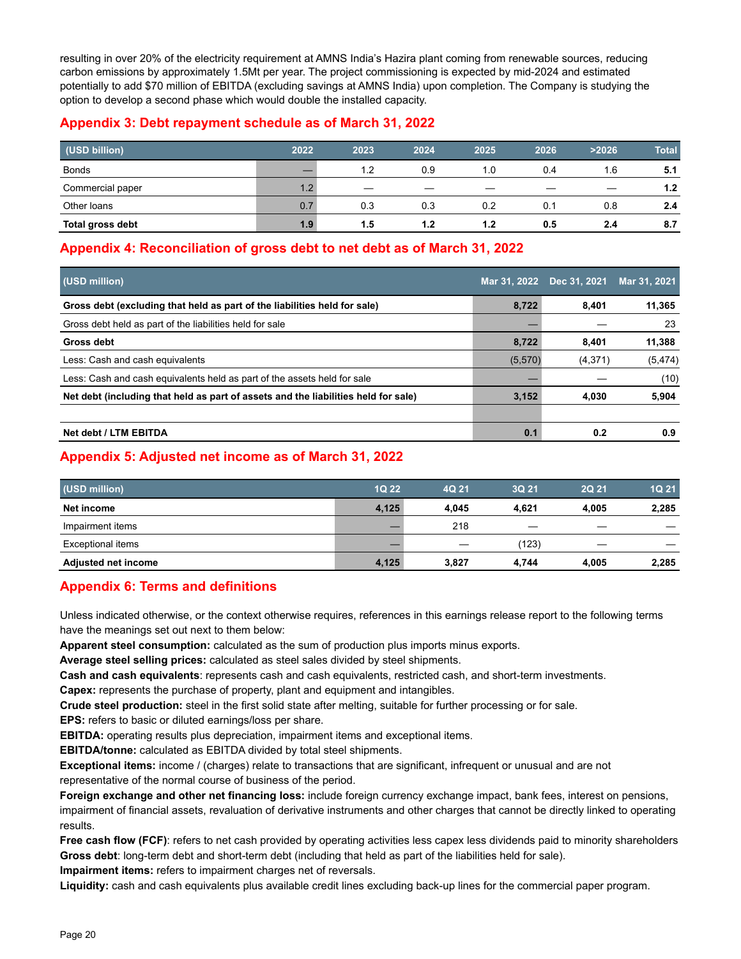resulting in over 20% of the electricity requirement at AMNS India's Hazira plant coming from renewable sources, reducing carbon emissions by approximately 1.5Mt per year. The project commissioning is expected by mid-2024 and estimated potentially to add \$70 million of EBITDA (excluding savings at AMNS India) upon completion. The Company is studying the option to develop a second phase which would double the installed capacity.

## **Appendix 3: Debt repayment schedule as of March 31, 2022**

| (USD billion)    | 2022 | 2023 | 2024 | 2025 | 2026 | >2026 | <b>Total</b> |
|------------------|------|------|------|------|------|-------|--------------|
| Bonds            |      | 1.2  | 0.9  | 1.0  | 0.4  | 1.6   | 5.1          |
| Commercial paper | 1.2  |      |      |      |      |       | 1.2          |
| Other loans      | 0.7  | 0.3  | 0.3  | 0.2  | 0.1  | 0.8   | 2.4          |
| Total gross debt | 1.9  | 1.5  | 1.2  | 1.2  | 0.5  | 2.4   | 8.7          |

# **Appendix 4: Reconciliation of gross debt to net debt as of March 31, 2022**

| (USD million)                                                                      | Mar 31, 2022 | Dec 31, 2021 | Mar 31, 2021 |
|------------------------------------------------------------------------------------|--------------|--------------|--------------|
| Gross debt (excluding that held as part of the liabilities held for sale)          | 8,722        | 8.401        | 11,365       |
| Gross debt held as part of the liabilities held for sale                           |              |              | 23           |
| Gross debt                                                                         | 8,722        | 8.401        | 11,388       |
| Less: Cash and cash equivalents                                                    | (5,570)      | (4,371)      | (5, 474)     |
| Less: Cash and cash equivalents held as part of the assets held for sale           |              |              | (10)         |
| Net debt (including that held as part of assets and the liabilities held for sale) | 3,152        | 4.030        | 5,904        |
|                                                                                    |              |              |              |
| Net debt / LTM EBITDA                                                              | 0.1          | 0.2          | 0.9          |

## **Appendix 5: Adjusted net income as of March 31, 2022**

| (USD million)              | <b>1Q 22</b> | 4Q 21 | 3Q 21 | <b>2Q 21</b> | <b>1Q 21</b> |
|----------------------------|--------------|-------|-------|--------------|--------------|
| Net income                 | 4,125        | 4.045 | 4.621 | 4.005        | 2,285        |
| Impairment items           | –            | 218   |       |              |              |
| Exceptional items          |              |       | (123) |              |              |
| <b>Adjusted net income</b> | 4,125        | 3,827 | 4.744 | 4,005        | 2,285        |

# **Appendix 6: Terms and definitions**

Unless indicated otherwise, or the context otherwise requires, references in this earnings release report to the following terms have the meanings set out next to them below:

**Apparent steel consumption:** calculated as the sum of production plus imports minus exports.

**Average steel selling prices:** calculated as steel sales divided by steel shipments.

**Cash and cash equivalents**: represents cash and cash equivalents, restricted cash, and short-term investments.

**Capex:** represents the purchase of property, plant and equipment and intangibles.

**Crude steel production:** steel in the first solid state after melting, suitable for further processing or for sale.

**EPS:** refers to basic or diluted earnings/loss per share.

**EBITDA:** operating results plus depreciation, impairment items and exceptional items.

**EBITDA/tonne:** calculated as EBITDA divided by total steel shipments.

**Exceptional items:** income / (charges) relate to transactions that are significant, infrequent or unusual and are not representative of the normal course of business of the period.

**Foreign exchange and other net financing loss:** include foreign currency exchange impact, bank fees, interest on pensions, impairment of financial assets, revaluation of derivative instruments and other charges that cannot be directly linked to operating results.

**Free cash flow (FCF)**: refers to net cash provided by operating activities less capex less dividends paid to minority shareholders **Gross debt**: long-term debt and short-term debt (including that held as part of the liabilities held for sale).

**Impairment items:** refers to impairment charges net of reversals.

**Liquidity:** cash and cash equivalents plus available credit lines excluding back-up lines for the commercial paper program.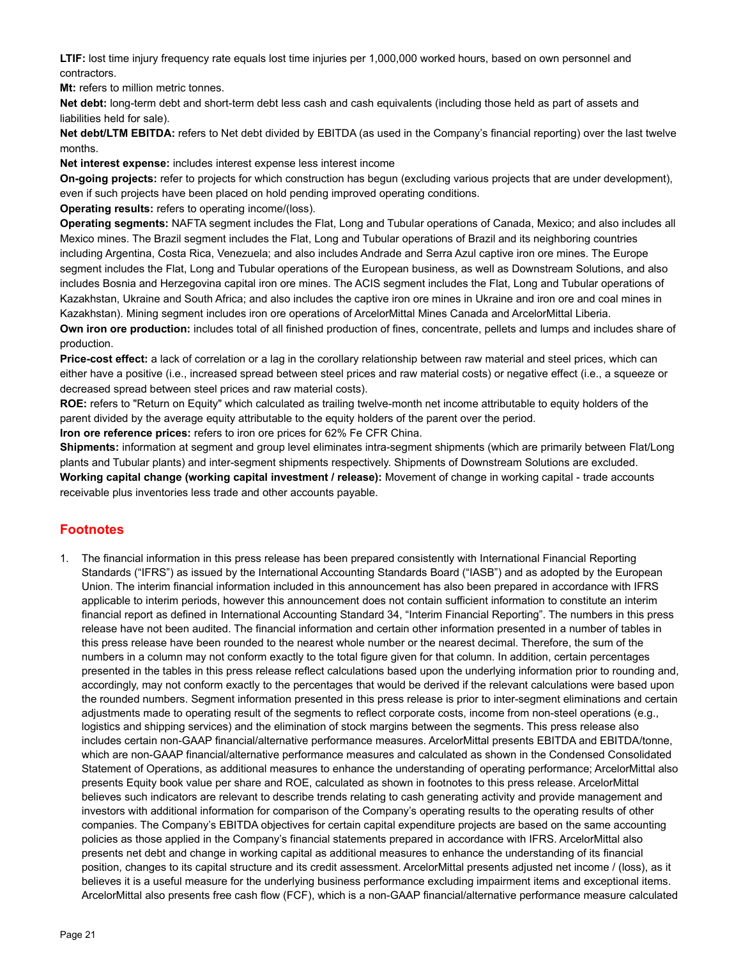**LTIF:** lost time injury frequency rate equals lost time injuries per 1,000,000 worked hours, based on own personnel and contractors.

**Mt:** refers to million metric tonnes.

**Net debt:** long-term debt and short-term debt less cash and cash equivalents (including those held as part of assets and liabilities held for sale).

**Net debt/LTM EBITDA:** refers to Net debt divided by EBITDA (as used in the Company's financial reporting) over the last twelve months.

**Net interest expense:** includes interest expense less interest income

**On-going projects:** refer to projects for which construction has begun (excluding various projects that are under development), even if such projects have been placed on hold pending improved operating conditions.

**Operating results:** refers to operating income/(loss).

**Operating segments:** NAFTA segment includes the Flat, Long and Tubular operations of Canada, Mexico; and also includes all Mexico mines. The Brazil segment includes the Flat, Long and Tubular operations of Brazil and its neighboring countries including Argentina, Costa Rica, Venezuela; and also includes Andrade and Serra Azul captive iron ore mines. The Europe segment includes the Flat, Long and Tubular operations of the European business, as well as Downstream Solutions, and also includes Bosnia and Herzegovina capital iron ore mines. The ACIS segment includes the Flat, Long and Tubular operations of Kazakhstan, Ukraine and South Africa; and also includes the captive iron ore mines in Ukraine and iron ore and coal mines in Kazakhstan). Mining segment includes iron ore operations of ArcelorMittal Mines Canada and ArcelorMittal Liberia.

**Own iron ore production:** includes total of all finished production of fines, concentrate, pellets and lumps and includes share of production.

**Price-cost effect:** a lack of correlation or a lag in the corollary relationship between raw material and steel prices, which can either have a positive (i.e., increased spread between steel prices and raw material costs) or negative effect (i.e., a squeeze or decreased spread between steel prices and raw material costs).

**ROE:** refers to "Return on Equity" which calculated as trailing twelve-month net income attributable to equity holders of the parent divided by the average equity attributable to the equity holders of the parent over the period.

**Iron ore reference prices:** refers to iron ore prices for 62% Fe CFR China.

**Shipments:** information at segment and group level eliminates intra-segment shipments (which are primarily between Flat/Long plants and Tubular plants) and inter-segment shipments respectively. Shipments of Downstream Solutions are excluded. **Working capital change (working capital investment / release):** Movement of change in working capital - trade accounts receivable plus inventories less trade and other accounts payable.

## **Footnotes**

1. The financial information in this press release has been prepared consistently with International Financial Reporting Standards ("IFRS") as issued by the International Accounting Standards Board ("IASB") and as adopted by the European Union. The interim financial information included in this announcement has also been prepared in accordance with IFRS applicable to interim periods, however this announcement does not contain sufficient information to constitute an interim financial report as defined in International Accounting Standard 34, "Interim Financial Reporting". The numbers in this press release have not been audited. The financial information and certain other information presented in a number of tables in this press release have been rounded to the nearest whole number or the nearest decimal. Therefore, the sum of the numbers in a column may not conform exactly to the total figure given for that column. In addition, certain percentages presented in the tables in this press release reflect calculations based upon the underlying information prior to rounding and, accordingly, may not conform exactly to the percentages that would be derived if the relevant calculations were based upon the rounded numbers. Segment information presented in this press release is prior to inter-segment eliminations and certain adjustments made to operating result of the segments to reflect corporate costs, income from non-steel operations (e.g., logistics and shipping services) and the elimination of stock margins between the segments. This press release also includes certain non-GAAP financial/alternative performance measures. ArcelorMittal presents EBITDA and EBITDA/tonne, which are non-GAAP financial/alternative performance measures and calculated as shown in the Condensed Consolidated Statement of Operations, as additional measures to enhance the understanding of operating performance; ArcelorMittal also presents Equity book value per share and ROE, calculated as shown in footnotes to this press release. ArcelorMittal believes such indicators are relevant to describe trends relating to cash generating activity and provide management and investors with additional information for comparison of the Company's operating results to the operating results of other companies. The Company's EBITDA objectives for certain capital expenditure projects are based on the same accounting policies as those applied in the Company's financial statements prepared in accordance with IFRS. ArcelorMittal also presents net debt and change in working capital as additional measures to enhance the understanding of its financial position, changes to its capital structure and its credit assessment. ArcelorMittal presents adjusted net income / (loss), as it believes it is a useful measure for the underlying business performance excluding impairment items and exceptional items. ArcelorMittal also presents free cash flow (FCF), which is a non-GAAP financial/alternative performance measure calculated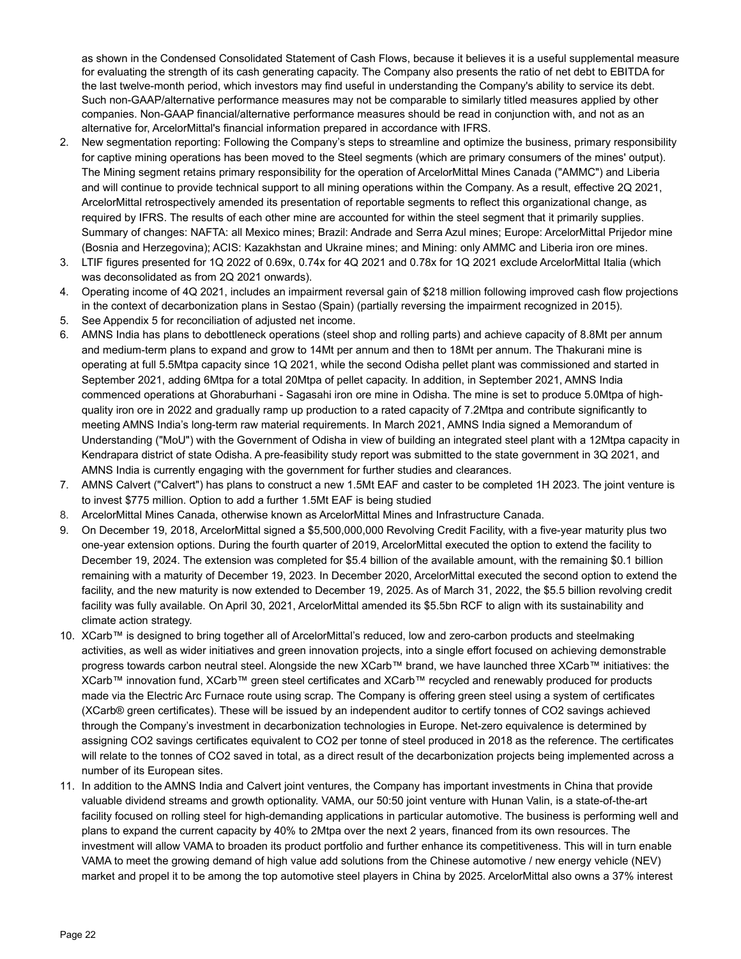as shown in the Condensed Consolidated Statement of Cash Flows, because it believes it is a useful supplemental measure for evaluating the strength of its cash generating capacity. The Company also presents the ratio of net debt to EBITDA for the last twelve-month period, which investors may find useful in understanding the Company's ability to service its debt. Such non-GAAP/alternative performance measures may not be comparable to similarly titled measures applied by other companies. Non-GAAP financial/alternative performance measures should be read in conjunction with, and not as an alternative for, ArcelorMittal's financial information prepared in accordance with IFRS.

- 2. New segmentation reporting: Following the Company's steps to streamline and optimize the business, primary responsibility for captive mining operations has been moved to the Steel segments (which are primary consumers of the mines' output). The Mining segment retains primary responsibility for the operation of ArcelorMittal Mines Canada ("AMMC") and Liberia and will continue to provide technical support to all mining operations within the Company. As a result, effective 2Q 2021, ArcelorMittal retrospectively amended its presentation of reportable segments to reflect this organizational change, as required by IFRS. The results of each other mine are accounted for within the steel segment that it primarily supplies. Summary of changes: NAFTA: all Mexico mines; Brazil: Andrade and Serra Azul mines; Europe: ArcelorMittal Prijedor mine (Bosnia and Herzegovina); ACIS: Kazakhstan and Ukraine mines; and Mining: only AMMC and Liberia iron ore mines.
- 3. LTIF figures presented for 1Q 2022 of 0.69x, 0.74x for 4Q 2021 and 0.78x for 1Q 2021 exclude ArcelorMittal Italia (which was deconsolidated as from 2Q 2021 onwards).
- 4. Operating income of 4Q 2021, includes an impairment reversal gain of \$218 million following improved cash flow projections in the context of decarbonization plans in Sestao (Spain) (partially reversing the impairment recognized in 2015).
- 5. See Appendix 5 for reconciliation of adjusted net income.
- 6. AMNS India has plans to debottleneck operations (steel shop and rolling parts) and achieve capacity of 8.8Mt per annum and medium-term plans to expand and grow to 14Mt per annum and then to 18Mt per annum. The Thakurani mine is operating at full 5.5Mtpa capacity since 1Q 2021, while the second Odisha pellet plant was commissioned and started in September 2021, adding 6Mtpa for a total 20Mtpa of pellet capacity. In addition, in September 2021, AMNS India commenced operations at Ghoraburhani - Sagasahi iron ore mine in Odisha. The mine is set to produce 5.0Mtpa of highquality iron ore in 2022 and gradually ramp up production to a rated capacity of 7.2Mtpa and contribute significantly to meeting AMNS India's long-term raw material requirements. In March 2021, AMNS India signed a Memorandum of Understanding ("MoU") with the Government of Odisha in view of building an integrated steel plant with a 12Mtpa capacity in Kendrapara district of state Odisha. A pre-feasibility study report was submitted to the state government in 3Q 2021, and AMNS India is currently engaging with the government for further studies and clearances.
- 7. AMNS Calvert ("Calvert") has plans to construct a new 1.5Mt EAF and caster to be completed 1H 2023. The joint venture is to invest \$775 million. Option to add a further 1.5Mt EAF is being studied
- 8. ArcelorMittal Mines Canada, otherwise known as ArcelorMittal Mines and Infrastructure Canada.
- 9. On December 19, 2018, ArcelorMittal signed a \$5,500,000,000 Revolving Credit Facility, with a five-year maturity plus two one-year extension options. During the fourth quarter of 2019, ArcelorMittal executed the option to extend the facility to December 19, 2024. The extension was completed for \$5.4 billion of the available amount, with the remaining \$0.1 billion remaining with a maturity of December 19, 2023. In December 2020, ArcelorMittal executed the second option to extend the facility, and the new maturity is now extended to December 19, 2025. As of March 31, 2022, the \$5.5 billion revolving credit facility was fully available. On April 30, 2021, ArcelorMittal amended its \$5.5bn RCF to align with its sustainability and climate action strategy.
- 10. XCarb™ is designed to bring together all of ArcelorMittal's reduced, low and zero-carbon products and steelmaking activities, as well as wider initiatives and green innovation projects, into a single effort focused on achieving demonstrable progress towards carbon neutral steel. Alongside the new XCarb™ brand, we have launched three XCarb™ initiatives: the XCarb™ innovation fund, XCarb™ green steel certificates and XCarb™ recycled and renewably produced for products made via the Electric Arc Furnace route using scrap. The Company is offering green steel using a system of certificates (XCarb® green certificates). These will be issued by an independent auditor to certify tonnes of CO2 savings achieved through the Company's investment in decarbonization technologies in Europe. Net-zero equivalence is determined by assigning CO2 savings certificates equivalent to CO2 per tonne of steel produced in 2018 as the reference. The certificates will relate to the tonnes of CO2 saved in total, as a direct result of the decarbonization projects being implemented across a number of its European sites.
- 11. In addition to the AMNS India and Calvert joint ventures, the Company has important investments in China that provide valuable dividend streams and growth optionality. VAMA, our 50:50 joint venture with Hunan Valin, is a state-of-the-art facility focused on rolling steel for high-demanding applications in particular automotive. The business is performing well and plans to expand the current capacity by 40% to 2Mtpa over the next 2 years, financed from its own resources. The investment will allow VAMA to broaden its product portfolio and further enhance its competitiveness. This will in turn enable VAMA to meet the growing demand of high value add solutions from the Chinese automotive / new energy vehicle (NEV) market and propel it to be among the top automotive steel players in China by 2025. ArcelorMittal also owns a 37% interest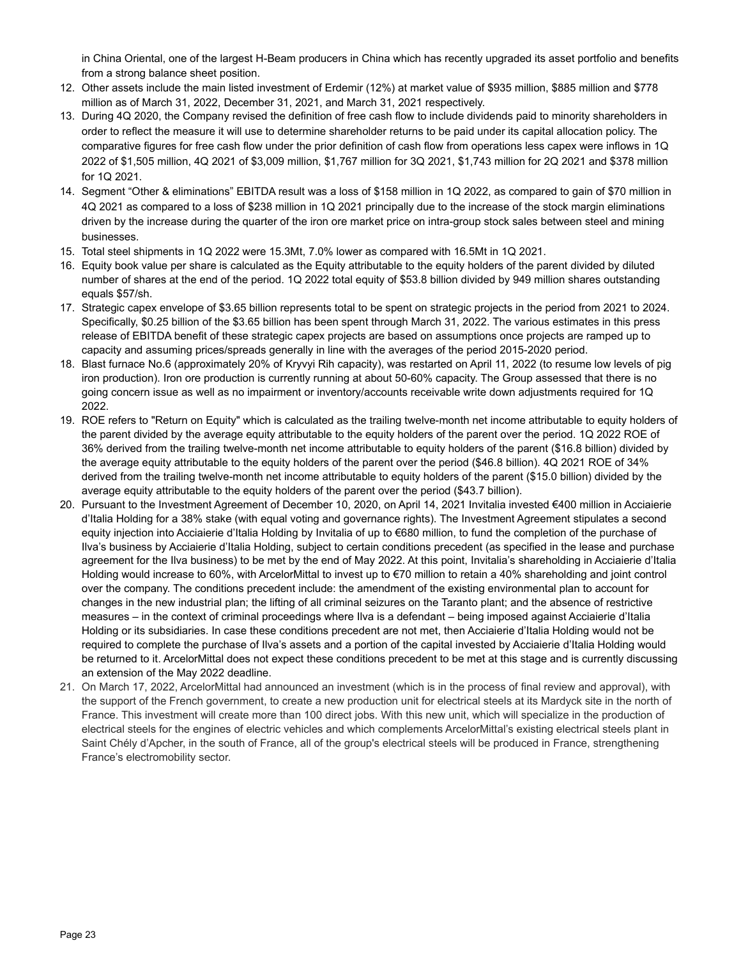in China Oriental, one of the largest H-Beam producers in China which has recently upgraded its asset portfolio and benefits from a strong balance sheet position.

- 12. Other assets include the main listed investment of Erdemir (12%) at market value of \$935 million, \$885 million and \$778 million as of March 31, 2022, December 31, 2021, and March 31, 2021 respectively.
- 13. During 4Q 2020, the Company revised the definition of free cash flow to include dividends paid to minority shareholders in order to reflect the measure it will use to determine shareholder returns to be paid under its capital allocation policy. The comparative figures for free cash flow under the prior definition of cash flow from operations less capex were inflows in 1Q 2022 of \$1,505 million, 4Q 2021 of \$3,009 million, \$1,767 million for 3Q 2021, \$1,743 million for 2Q 2021 and \$378 million for 1Q 2021.
- 14. Segment "Other & eliminations" EBITDA result was a loss of \$158 million in 1Q 2022, as compared to gain of \$70 million in 4Q 2021 as compared to a loss of \$238 million in 1Q 2021 principally due to the increase of the stock margin eliminations driven by the increase during the quarter of the iron ore market price on intra-group stock sales between steel and mining businesses.
- 15. Total steel shipments in 1Q 2022 were 15.3Mt, 7.0% lower as compared with 16.5Mt in 1Q 2021.
- 16. Equity book value per share is calculated as the Equity attributable to the equity holders of the parent divided by diluted number of shares at the end of the period. 1Q 2022 total equity of \$53.8 billion divided by 949 million shares outstanding equals \$57/sh.
- 17. Strategic capex envelope of \$3.65 billion represents total to be spent on strategic projects in the period from 2021 to 2024. Specifically, \$0.25 billion of the \$3.65 billion has been spent through March 31, 2022. The various estimates in this press release of EBITDA benefit of these strategic capex projects are based on assumptions once projects are ramped up to capacity and assuming prices/spreads generally in line with the averages of the period 2015-2020 period.
- 18. Blast furnace No.6 (approximately 20% of Kryvyi Rih capacity), was restarted on April 11, 2022 (to resume low levels of pig iron production). Iron ore production is currently running at about 50-60% capacity. The Group assessed that there is no going concern issue as well as no impairment or inventory/accounts receivable write down adjustments required for 1Q 2022.
- 19. ROE refers to "Return on Equity" which is calculated as the trailing twelve-month net income attributable to equity holders of the parent divided by the average equity attributable to the equity holders of the parent over the period. 1Q 2022 ROE of 36% derived from the trailing twelve-month net income attributable to equity holders of the parent (\$16.8 billion) divided by the average equity attributable to the equity holders of the parent over the period (\$46.8 billion). 4Q 2021 ROE of 34% derived from the trailing twelve-month net income attributable to equity holders of the parent (\$15.0 billion) divided by the average equity attributable to the equity holders of the parent over the period (\$43.7 billion).
- 20. Pursuant to the Investment Agreement of December 10, 2020, on April 14, 2021 Invitalia invested €400 million in Acciaierie d'Italia Holding for a 38% stake (with equal voting and governance rights). The Investment Agreement stipulates a second equity injection into Acciaierie d'Italia Holding by Invitalia of up to €680 million, to fund the completion of the purchase of Ilva's business by Acciaierie d'Italia Holding, subject to certain conditions precedent (as specified in the lease and purchase agreement for the Ilva business) to be met by the end of May 2022. At this point, Invitalia's shareholding in Acciaierie d'Italia Holding would increase to 60%, with ArcelorMittal to invest up to €70 million to retain a 40% shareholding and joint control over the company. The conditions precedent include: the amendment of the existing environmental plan to account for changes in the new industrial plan; the lifting of all criminal seizures on the Taranto plant; and the absence of restrictive measures – in the context of criminal proceedings where Ilva is a defendant – being imposed against Acciaierie d'Italia Holding or its subsidiaries. In case these conditions precedent are not met, then Acciaierie d'Italia Holding would not be required to complete the purchase of Ilva's assets and a portion of the capital invested by Acciaierie d'Italia Holding would be returned to it. ArcelorMittal does not expect these conditions precedent to be met at this stage and is currently discussing an extension of the May 2022 deadline.
- 21. On March 17, 2022, ArcelorMittal had announced an investment (which is in the process of final review and approval), with the support of the French government, to create a new production unit for electrical steels at its Mardyck site in the north of France. This investment will create more than 100 direct jobs. With this new unit, which will specialize in the production of electrical steels for the engines of electric vehicles and which complements ArcelorMittal's existing electrical steels plant in Saint Chély d'Apcher, in the south of France, all of the group's electrical steels will be produced in France, strengthening France's electromobility sector.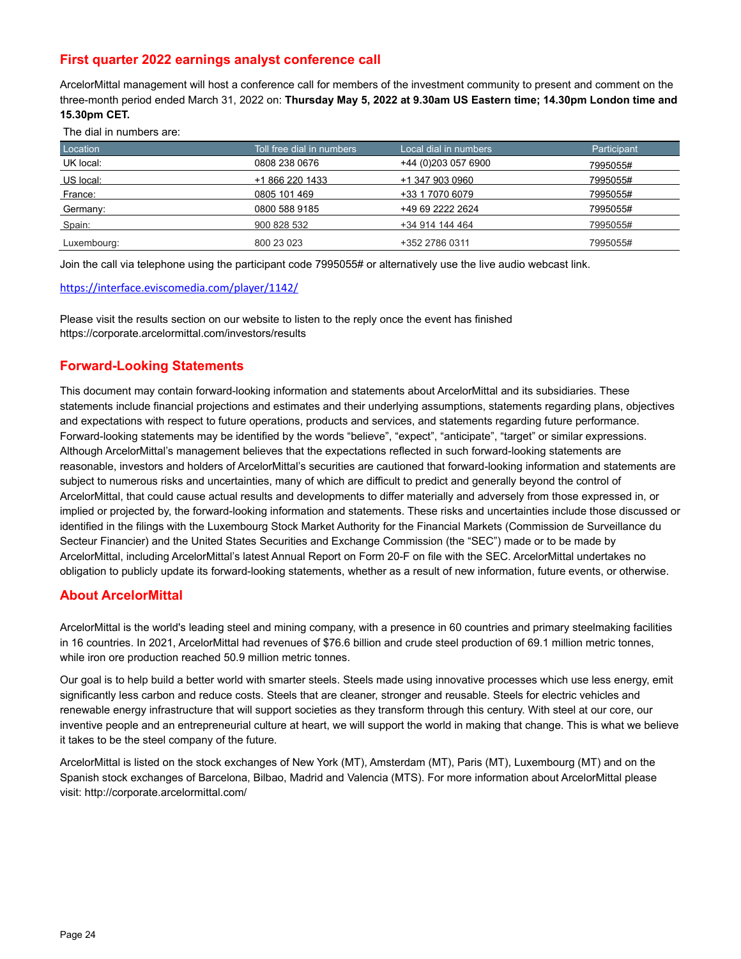# **First quarter 2022 earnings analyst conference call**

ArcelorMittal management will host a conference call for members of the investment community to present and comment on the three-month period ended March 31, 2022 on: **Thursday May 5, 2022 at 9.30am US Eastern time; 14.30pm London time and 15.30pm CET.** 

The dial in numbers are:

| Location    | Toll free dial in numbers | Local dial in numbers | Participant |
|-------------|---------------------------|-----------------------|-------------|
| UK local:   | 0808 238 0676             | +44 (0)203 057 6900   | 7995055#    |
| US local:   | +1 866 220 1433           | +1 347 903 0960       | 7995055#    |
| France:     | 0805 101 469              | +33 1 7070 6079       | 7995055#    |
| Germany:    | 0800 588 9185             | +49 69 2222 2624      | 7995055#    |
| Spain:      | 900 828 532               | +34 914 144 464       | 7995055#    |
| Luxembourg: | 800 23 023                | +352 2786 0311        | 7995055#    |

Join the call via telephone using the participant code 7995055# or alternatively use the live audio webcast link.

#### [https://interface.eviscomedia.com/player/1142/](https://urldefense.com/v3/__https:/interface.eviscomedia.com/player/1142/__;!!AB_04_y_3-SRqw!swY_ap4BPpeMWPTq8Hk64v1bmBZpSTXnGbzx-lLazX3QrF9dcCcT9au6PVCdLypDSTyyTkPq5w$)

Please visit the results section on our website to listen to the reply once the event has finished <https://corporate.arcelormittal.com/investors/results>

## **Forward-Looking Statements**

This document may contain forward-looking information and statements about ArcelorMittal and its subsidiaries. These statements include financial projections and estimates and their underlying assumptions, statements regarding plans, objectives and expectations with respect to future operations, products and services, and statements regarding future performance. Forward-looking statements may be identified by the words "believe", "expect", "anticipate", "target" or similar expressions. Although ArcelorMittal's management believes that the expectations reflected in such forward-looking statements are reasonable, investors and holders of ArcelorMittal's securities are cautioned that forward-looking information and statements are subject to numerous risks and uncertainties, many of which are difficult to predict and generally beyond the control of ArcelorMittal, that could cause actual results and developments to differ materially and adversely from those expressed in, or implied or projected by, the forward-looking information and statements. These risks and uncertainties include those discussed or identified in the filings with the Luxembourg Stock Market Authority for the Financial Markets (Commission de Surveillance du Secteur Financier) and the United States Securities and Exchange Commission (the "SEC") made or to be made by ArcelorMittal, including ArcelorMittal's latest Annual Report on Form 20-F on file with the SEC. ArcelorMittal undertakes no obligation to publicly update its forward-looking statements, whether as a result of new information, future events, or otherwise.

## **About ArcelorMittal**

ArcelorMittal is the world's leading steel and mining company, with a presence in 60 countries and primary steelmaking facilities in 16 countries. In 2021, ArcelorMittal had revenues of \$76.6 billion and crude steel production of 69.1 million metric tonnes, while iron ore production reached 50.9 million metric tonnes.

Our goal is to help build a better world with smarter steels. Steels made using innovative processes which use less energy, emit significantly less carbon and reduce costs. Steels that are cleaner, stronger and reusable. Steels for electric vehicles and renewable energy infrastructure that will support societies as they transform through this century. With steel at our core, our inventive people and an entrepreneurial culture at heart, we will support the world in making that change. This is what we believe it takes to be the steel company of the future.

ArcelorMittal is listed on the stock exchanges of New York (MT), Amsterdam (MT), Paris (MT), Luxembourg (MT) and on the Spanish stock exchanges of Barcelona, Bilbao, Madrid and Valencia (MTS). For more information about ArcelorMittal please visit: http://corporate.arcelormittal.com/